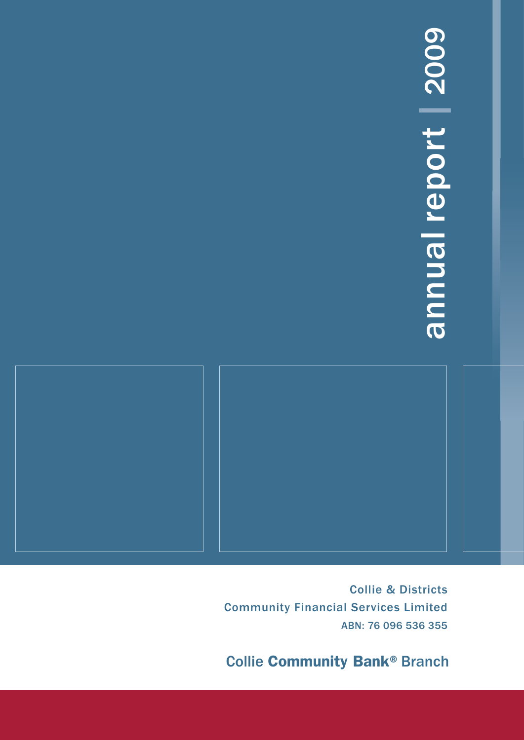# annual report | 2009 annual report | 2009

Collie & Districts Community Financial Services Limited ABN: 76 096 536 355

**Collie Community Bank® Branch**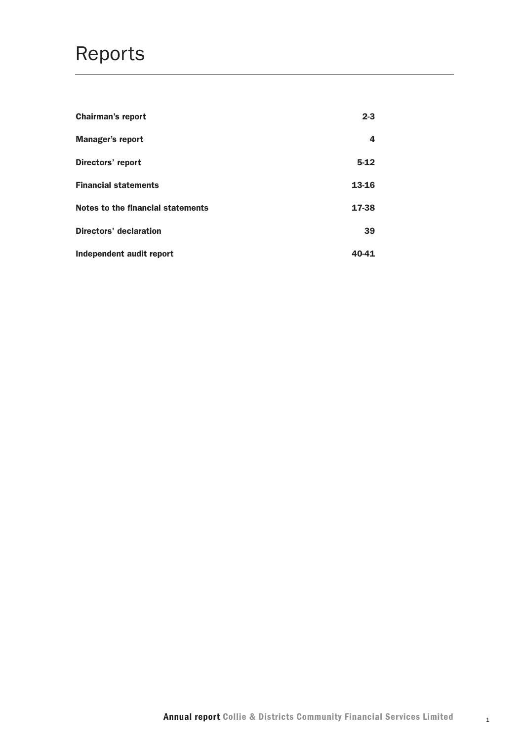## Reports

| <b>Chairman's report</b>          | $2 - 3$ |
|-----------------------------------|---------|
| <b>Manager's report</b>           | 4       |
| Directors' report                 | $5-12$  |
| <b>Financial statements</b>       | 13-16   |
| Notes to the financial statements | 17-38   |
| <b>Directors' declaration</b>     | 39      |
| Independent audit report          | 40-41   |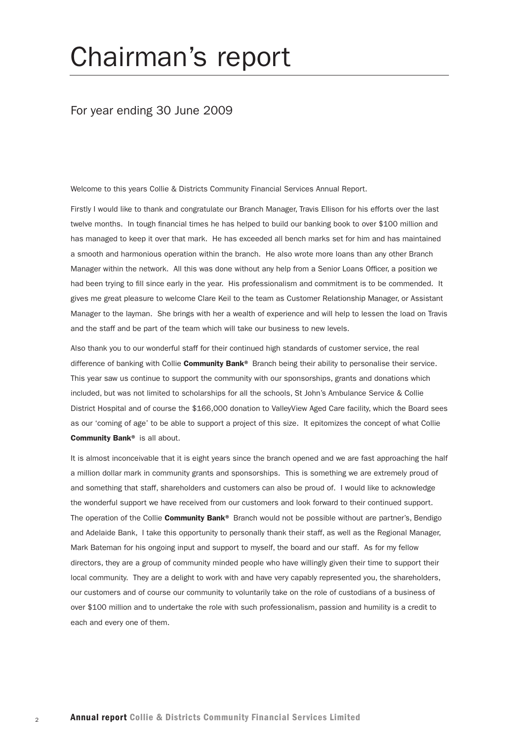# Chairman's report

#### For year ending 30 June 2009

Welcome to this years Collie & Districts Community Financial Services Annual Report.

Firstly I would like to thank and congratulate our Branch Manager, Travis Ellison for his efforts over the last twelve months. In tough financial times he has helped to build our banking book to over \$100 million and has managed to keep it over that mark. He has exceeded all bench marks set for him and has maintained a smooth and harmonious operation within the branch. He also wrote more loans than any other Branch Manager within the network. All this was done without any help from a Senior Loans Officer, a position we had been trying to fill since early in the year. His professionalism and commitment is to be commended. It gives me great pleasure to welcome Clare Keil to the team as Customer Relationship Manager, or Assistant Manager to the layman. She brings with her a wealth of experience and will help to lessen the load on Travis and the staff and be part of the team which will take our business to new levels.

Also thank you to our wonderful staff for their continued high standards of customer service, the real difference of banking with Collie Community Bank® Branch being their ability to personalise their service. This year saw us continue to support the community with our sponsorships, grants and donations which included, but was not limited to scholarships for all the schools, St John's Ambulance Service & Collie District Hospital and of course the \$166,000 donation to ValleyView Aged Care facility, which the Board sees as our 'coming of age' to be able to support a project of this size. It epitomizes the concept of what Collie Community Bank® is all about.

It is almost inconceivable that it is eight years since the branch opened and we are fast approaching the half a million dollar mark in community grants and sponsorships. This is something we are extremely proud of and something that staff, shareholders and customers can also be proud of. I would like to acknowledge the wonderful support we have received from our customers and look forward to their continued support. The operation of the Collie Community Bank® Branch would not be possible without are partner's, Bendigo and Adelaide Bank, I take this opportunity to personally thank their staff, as well as the Regional Manager, Mark Bateman for his ongoing input and support to myself, the board and our staff. As for my fellow directors, they are a group of community minded people who have willingly given their time to support their local community. They are a delight to work with and have very capably represented you, the shareholders, our customers and of course our community to voluntarily take on the role of custodians of a business of over \$100 million and to undertake the role with such professionalism, passion and humility is a credit to each and every one of them.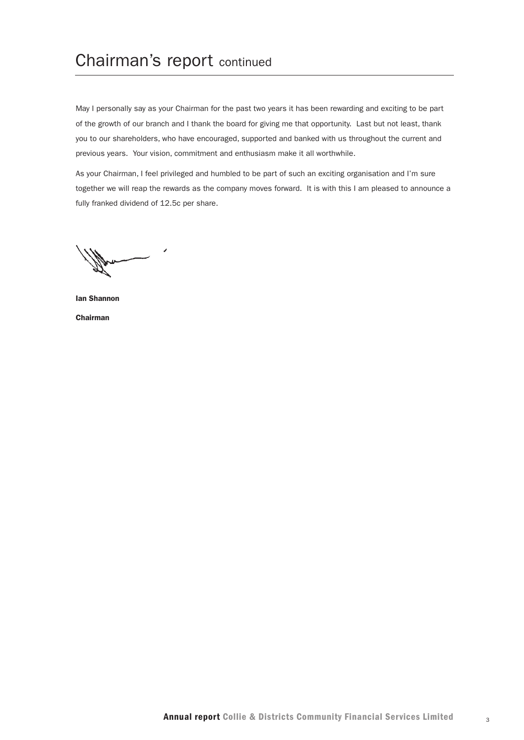## Chairman's report continued

May I personally say as your Chairman for the past two years it has been rewarding and exciting to be part of the growth of our branch and I thank the board for giving me that opportunity. Last but not least, thank you to our shareholders, who have encouraged, supported and banked with us throughout the current and previous years. Your vision, commitment and enthusiasm make it all worthwhile.

As your Chairman, I feel privileged and humbled to be part of such an exciting organisation and I'm sure together we will reap the rewards as the company moves forward. It is with this I am pleased to announce a fully franked dividend of 12.5c per share.

Ian Shannon Chairman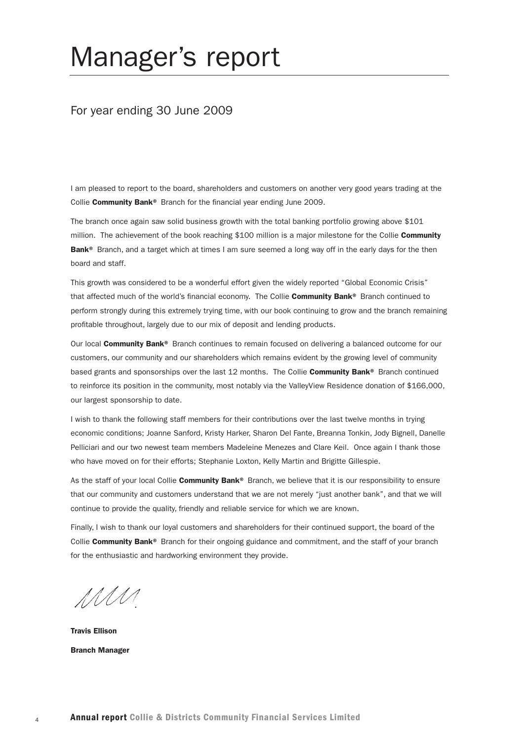# Manager's report

#### For year ending 30 June 2009

I am pleased to report to the board, shareholders and customers on another very good years trading at the Collie Community Bank® Branch for the financial year ending June 2009.

The branch once again saw solid business growth with the total banking portfolio growing above \$101 million. The achievement of the book reaching \$100 million is a major milestone for the Collie Community Bank<sup>®</sup> Branch, and a target which at times I am sure seemed a long way off in the early days for the then board and staff.

This growth was considered to be a wonderful effort given the widely reported "Global Economic Crisis" that affected much of the world's financial economy. The Collie **Community Bank**® Branch continued to perform strongly during this extremely trying time, with our book continuing to grow and the branch remaining profitable throughout, largely due to our mix of deposit and lending products.

Our local Community Bank® Branch continues to remain focused on delivering a balanced outcome for our customers, our community and our shareholders which remains evident by the growing level of community based grants and sponsorships over the last 12 months. The Collie Community Bank® Branch continued to reinforce its position in the community, most notably via the ValleyView Residence donation of \$166,000, our largest sponsorship to date.

I wish to thank the following staff members for their contributions over the last twelve months in trying economic conditions; Joanne Sanford, Kristy Harker, Sharon Del Fante, Breanna Tonkin, Jody Bignell, Danelle Pelliciari and our two newest team members Madeleine Menezes and Clare Keil. Once again I thank those who have moved on for their efforts; Stephanie Loxton, Kelly Martin and Brigitte Gillespie.

As the staff of your local Collie Community Bank® Branch, we believe that it is our responsibility to ensure that our community and customers understand that we are not merely "just another bank", and that we will continue to provide the quality, friendly and reliable service for which we are known.

Finally, I wish to thank our loyal customers and shareholders for their continued support, the board of the Collie Community Bank® Branch for their ongoing guidance and commitment, and the staff of your branch for the enthusiastic and hardworking environment they provide.

MM

Travis Ellison Branch Manager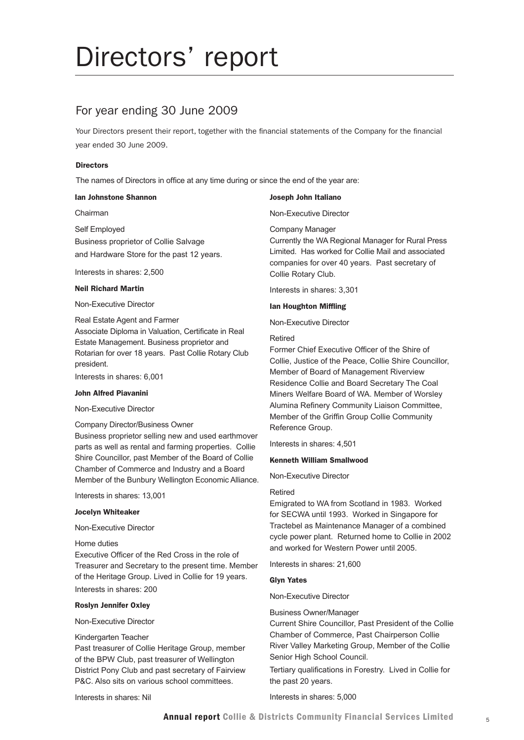# Directors' report

## For year ending 30 June 2009

Your Directors present their report, together with the financial statements of the Company for the financial year ended 30 June 2009.

#### **Directors**

The names of Directors in office at any time during or since the end of the year are:

#### Ian Johnstone Shannon

Chairman

Self Employed Business proprietor of Collie Salvage and Hardware Store for the past 12 years.

Interests in shares: 2,500

#### Neil Richard Martin

Non-Executive Director

Real Estate Agent and Farmer Associate Diploma in Valuation, Certificate in Real Estate Management. Business proprietor and Rotarian for over 18 years. Past Collie Rotary Club president.

Interests in shares: 6,001

#### John Alfred Piavanini

Non-Executive Director

#### Company Director/Business Owner

Business proprietor selling new and used earthmover parts as well as rental and farming properties. Collie Shire Councillor, past Member of the Board of Collie Chamber of Commerce and Industry and a Board Member of the Bunbury Wellington Economic Alliance.

Interests in shares: 13,001

#### Jocelyn Whiteaker

Non-Executive Director

Home duties

Executive Officer of the Red Cross in the role of Treasurer and Secretary to the present time. Member of the Heritage Group. Lived in Collie for 19 years. Interests in shares: 200

#### Roslyn Jennifer Oxley

Non-Executive Director

#### Kindergarten Teacher

Past treasurer of Collie Heritage Group, member of the BPW Club, past treasurer of Wellington District Pony Club and past secretary of Fairview P&C. Also sits on various school committees.

Interests in shares: Nil

#### Joseph John Italiano

Non-Executive Director

Company Manager

Currently the WA Regional Manager for Rural Press Limited. Has worked for Collie Mail and associated companies for over 40 years. Past secretary of Collie Rotary Club.

Interests in shares: 3,301

#### Ian Houghton Miffling

Non-Executive Director

#### Retired

Former Chief Executive Officer of the Shire of Collie, Justice of the Peace, Collie Shire Councillor, Member of Board of Management Riverview Residence Collie and Board Secretary The Coal Miners Welfare Board of WA. Member of Worsley Alumina Refinery Community Liaison Committee, Member of the Griffin Group Collie Community Reference Group.

Interests in shares: 4,501

#### Kenneth William Smallwood

Non-Executive Director

#### Retired

Emigrated to WA from Scotland in 1983. Worked for SECWA until 1993. Worked in Singapore for Tractebel as Maintenance Manager of a combined cycle power plant. Returned home to Collie in 2002 and worked for Western Power until 2005.

Interests in shares: 21,600

#### Glyn Yates

Non-Executive Director

#### Business Owner/Manager

Current Shire Councillor, Past President of the Collie Chamber of Commerce, Past Chairperson Collie River Valley Marketing Group, Member of the Collie Senior High School Council.

Tertiary qualifications in Forestry. Lived in Collie for the past 20 years.

Interests in shares: 5,000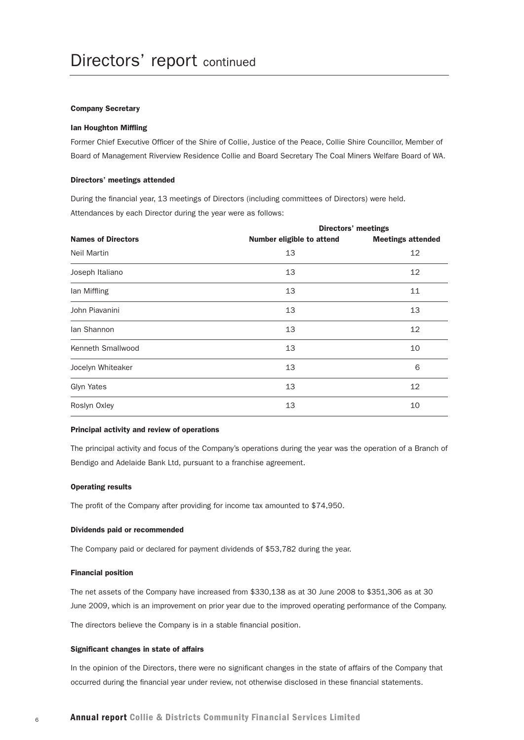#### Company Secretary

#### Ian Houghton Miffling

Former Chief Executive Officer of the Shire of Collie, Justice of the Peace, Collie Shire Councillor, Member of Board of Management Riverview Residence Collie and Board Secretary The Coal Miners Welfare Board of WA.

#### Directors' meetings attended

During the financial year, 13 meetings of Directors (including committees of Directors) were held. Attendances by each Director during the year were as follows:

|                           | <b>Directors' meetings</b>       |                          |  |  |
|---------------------------|----------------------------------|--------------------------|--|--|
| <b>Names of Directors</b> | <b>Number eligible to attend</b> | <b>Meetings attended</b> |  |  |
| <b>Neil Martin</b>        | 13                               | 12                       |  |  |
| Joseph Italiano           | 13                               | 12                       |  |  |
| lan Miffling              | 13                               | 11                       |  |  |
| John Piavanini            | 13                               | 13                       |  |  |
| lan Shannon               | 13                               | 12                       |  |  |
| Kenneth Smallwood         | 13                               | 10                       |  |  |
| Jocelyn Whiteaker         | 13                               | 6                        |  |  |
| Glyn Yates                | 13                               | 12                       |  |  |
| Roslyn Oxley              | 13                               | 10                       |  |  |

#### Principal activity and review of operations

The principal activity and focus of the Company's operations during the year was the operation of a Branch of Bendigo and Adelaide Bank Ltd, pursuant to a franchise agreement.

#### Operating results

The profit of the Company after providing for income tax amounted to \$74,950.

#### Dividends paid or recommended

The Company paid or declared for payment dividends of \$53,782 during the year.

#### Financial position

The net assets of the Company have increased from \$330,138 as at 30 June 2008 to \$351,306 as at 30 June 2009, which is an improvement on prior year due to the improved operating performance of the Company.

The directors believe the Company is in a stable financial position.

#### Significant changes in state of affairs

In the opinion of the Directors, there were no significant changes in the state of affairs of the Company that occurred during the financial year under review, not otherwise disclosed in these financial statements.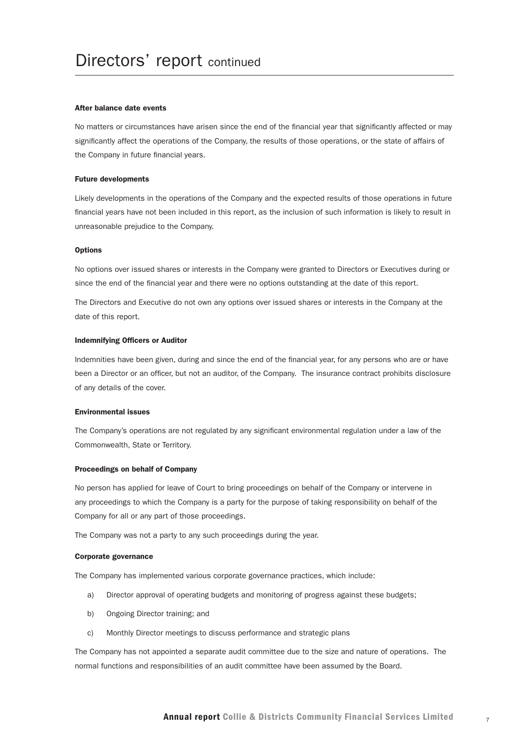#### After balance date events

No matters or circumstances have arisen since the end of the financial year that significantly affected or may significantly affect the operations of the Company, the results of those operations, or the state of affairs of the Company in future financial years.

#### Future developments

Likely developments in the operations of the Company and the expected results of those operations in future financial years have not been included in this report, as the inclusion of such information is likely to result in unreasonable prejudice to the Company.

#### **Options**

No options over issued shares or interests in the Company were granted to Directors or Executives during or since the end of the financial year and there were no options outstanding at the date of this report.

The Directors and Executive do not own any options over issued shares or interests in the Company at the date of this report.

#### Indemnifying Officers or Auditor

Indemnities have been given, during and since the end of the financial year, for any persons who are or have been a Director or an officer, but not an auditor, of the Company. The insurance contract prohibits disclosure of any details of the cover.

#### Environmental issues

The Company's operations are not regulated by any significant environmental regulation under a law of the Commonwealth, State or Territory.

#### Proceedings on behalf of Company

No person has applied for leave of Court to bring proceedings on behalf of the Company or intervene in any proceedings to which the Company is a party for the purpose of taking responsibility on behalf of the Company for all or any part of those proceedings.

The Company was not a party to any such proceedings during the year.

#### Corporate governance

The Company has implemented various corporate governance practices, which include:

- a) Director approval of operating budgets and monitoring of progress against these budgets;
- b) Ongoing Director training; and
- c) Monthly Director meetings to discuss performance and strategic plans

The Company has not appointed a separate audit committee due to the size and nature of operations. The normal functions and responsibilities of an audit committee have been assumed by the Board.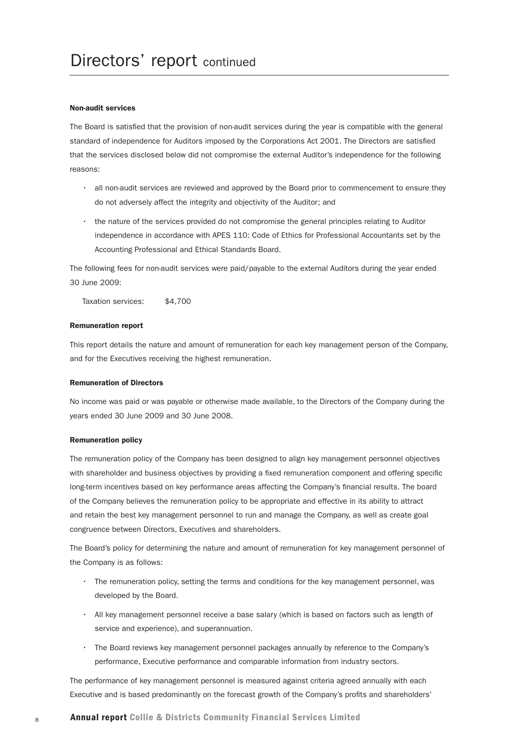#### Non-audit services

The Board is satisfied that the provision of non-audit services during the year is compatible with the general standard of independence for Auditors imposed by the Corporations Act 2001. The Directors are satisfied that the services disclosed below did not compromise the external Auditor's independence for the following reasons:

- • all non-audit services are reviewed and approved by the Board prior to commencement to ensure they do not adversely affect the integrity and objectivity of the Auditor; and
- • the nature of the services provided do not compromise the general principles relating to Auditor independence in accordance with APES 110: Code of Ethics for Professional Accountants set by the Accounting Professional and Ethical Standards Board.

The following fees for non-audit services were paid/payable to the external Auditors during the year ended 30 June 2009:

Taxation services: \$4,700

#### Remuneration report

This report details the nature and amount of remuneration for each key management person of the Company, and for the Executives receiving the highest remuneration.

#### Remuneration of Directors

No income was paid or was payable or otherwise made available, to the Directors of the Company during the years ended 30 June 2009 and 30 June 2008.

#### Remuneration policy

The remuneration policy of the Company has been designed to align key management personnel objectives with shareholder and business objectives by providing a fixed remuneration component and offering specific long-term incentives based on key performance areas affecting the Company's financial results. The board of the Company believes the remuneration policy to be appropriate and effective in its ability to attract and retain the best key management personnel to run and manage the Company, as well as create goal congruence between Directors, Executives and shareholders.

The Board's policy for determining the nature and amount of remuneration for key management personnel of the Company is as follows:

- • The remuneration policy, setting the terms and conditions for the key management personnel, was developed by the Board.
- • All key management personnel receive a base salary (which is based on factors such as length of service and experience), and superannuation.
- • The Board reviews key management personnel packages annually by reference to the Company's performance, Executive performance and comparable information from industry sectors.

The performance of key management personnel is measured against criteria agreed annually with each Executive and is based predominantly on the forecast growth of the Company's profits and shareholders'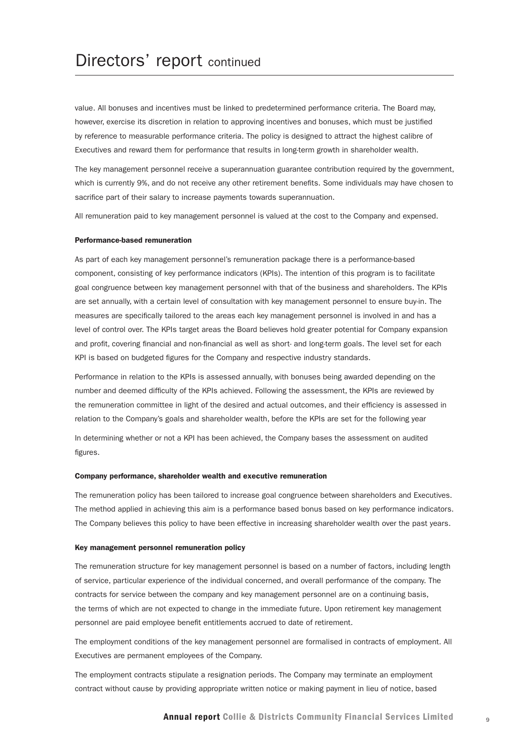value. All bonuses and incentives must be linked to predetermined performance criteria. The Board may, however, exercise its discretion in relation to approving incentives and bonuses, which must be justified by reference to measurable performance criteria. The policy is designed to attract the highest calibre of Executives and reward them for performance that results in long-term growth in shareholder wealth.

The key management personnel receive a superannuation guarantee contribution required by the government, which is currently 9%, and do not receive any other retirement benefits. Some individuals may have chosen to sacrifice part of their salary to increase payments towards superannuation.

All remuneration paid to key management personnel is valued at the cost to the Company and expensed.

#### Performance-based remuneration

As part of each key management personnel's remuneration package there is a performance-based component, consisting of key performance indicators (KPIs). The intention of this program is to facilitate goal congruence between key management personnel with that of the business and shareholders. The KPIs are set annually, with a certain level of consultation with key management personnel to ensure buy-in. The measures are specifically tailored to the areas each key management personnel is involved in and has a level of control over. The KPIs target areas the Board believes hold greater potential for Company expansion and profit, covering financial and non-financial as well as short- and long-term goals. The level set for each KPI is based on budgeted figures for the Company and respective industry standards.

Performance in relation to the KPIs is assessed annually, with bonuses being awarded depending on the number and deemed difficulty of the KPIs achieved. Following the assessment, the KPIs are reviewed by the remuneration committee in light of the desired and actual outcomes, and their efficiency is assessed in relation to the Company's goals and shareholder wealth, before the KPIs are set for the following year

In determining whether or not a KPI has been achieved, the Company bases the assessment on audited figures.

#### Company performance, shareholder wealth and executive remuneration

The remuneration policy has been tailored to increase goal congruence between shareholders and Executives. The method applied in achieving this aim is a performance based bonus based on key performance indicators. The Company believes this policy to have been effective in increasing shareholder wealth over the past years.

#### Key management personnel remuneration policy

The remuneration structure for key management personnel is based on a number of factors, including length of service, particular experience of the individual concerned, and overall performance of the company. The contracts for service between the company and key management personnel are on a continuing basis, the terms of which are not expected to change in the immediate future. Upon retirement key management personnel are paid employee benefit entitlements accrued to date of retirement.

The employment conditions of the key management personnel are formalised in contracts of employment. All Executives are permanent employees of the Company.

The employment contracts stipulate a resignation periods. The Company may terminate an employment contract without cause by providing appropriate written notice or making payment in lieu of notice, based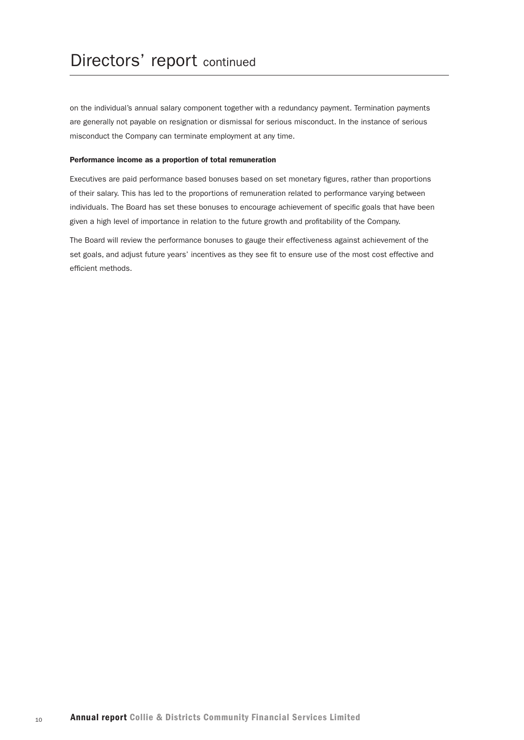on the individual's annual salary component together with a redundancy payment. Termination payments are generally not payable on resignation or dismissal for serious misconduct. In the instance of serious misconduct the Company can terminate employment at any time.

#### Performance income as a proportion of total remuneration

Executives are paid performance based bonuses based on set monetary figures, rather than proportions of their salary. This has led to the proportions of remuneration related to performance varying between individuals. The Board has set these bonuses to encourage achievement of specific goals that have been given a high level of importance in relation to the future growth and profitability of the Company.

The Board will review the performance bonuses to gauge their effectiveness against achievement of the set goals, and adjust future years' incentives as they see fit to ensure use of the most cost effective and efficient methods.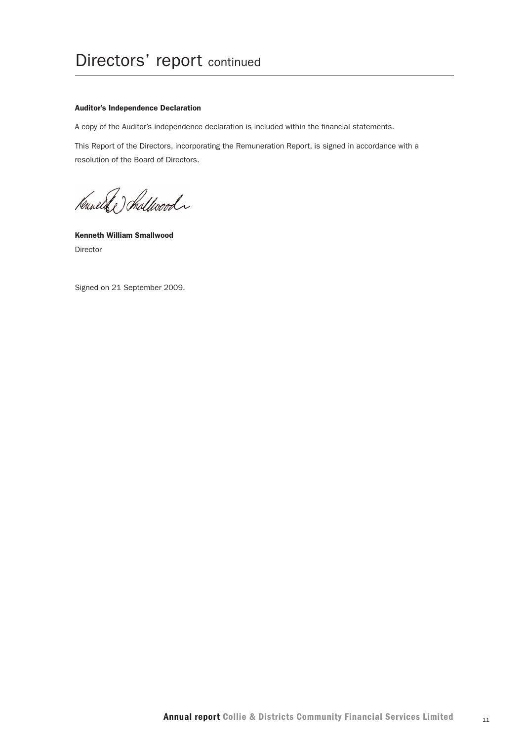#### Auditor's Independence Declaration

A copy of the Auditor's independence declaration is included within the financial statements.

This Report of the Directors, incorporating the Remuneration Report, is signed in accordance with a resolution of the Board of Directors.

Kanel & hallwood

Kenneth William Smallwood Director

Signed on 21 September 2009.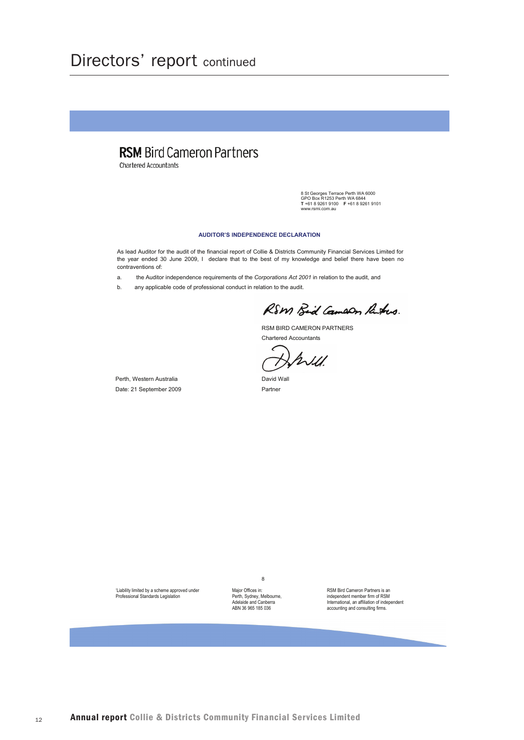## Directors' report continued

## **RSM** Bird Cameron Partners

Chartered Accountants

8 St Georges Terrace Perth WA 6000<br>GPO Box R1253 Perth WA 6844<br>T +61 8 9261 9100 F +61 8 9261 9101<br>www.rsmi.com.au

#### **AUDITOR'S INDEPENDENCE DECLARATION**

As lead Auditor for the audit of the financial report of Collie & Districts Community Financial Services Limited for the year ended 30 June 2009, I declare that to the best of my knowledge and belief there have been no contraventions of:

the Auditor independence requirements of the Corporations Act 2001 in relation to the audit, and  $\overline{a}$ 

any applicable code of professional conduct in relation to the audit.  $h$ 

RSM Bid Camaon Ritus.

RSM BIRD CAMERON PARTNERS **Chartered Accountants** 

Will

David Wall Partner

Perth, Western Australia Date: 21 September 2009

'Liability limited by a scheme approved under Professional Standards Legislation

Major Offices in: Perth, Sydney, Melbourne,<br>Adelaide and Canberra ABN 36 965 185 036

8

RSM Bird Cameron Partners is an independent member firm of RSM<br>International, an affiliation of independent accounting and consulting firms.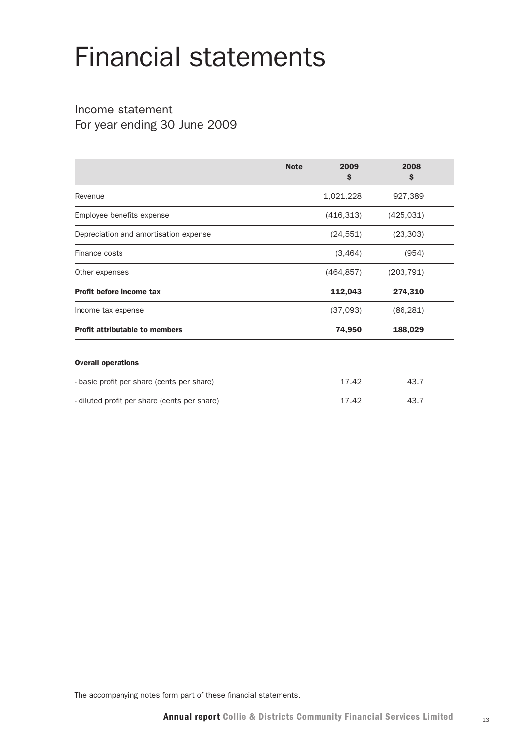# Financial statements

## Income statement For year ending 30 June 2009

|                                              | <b>Note</b> | 2009<br>\$ | 2008<br>\$ |  |
|----------------------------------------------|-------------|------------|------------|--|
| Revenue                                      |             | 1,021,228  | 927,389    |  |
| Employee benefits expense                    |             | (416, 313) | (425, 031) |  |
| Depreciation and amortisation expense        |             | (24, 551)  | (23, 303)  |  |
| Finance costs                                |             | (3,464)    | (954)      |  |
| Other expenses                               |             | (464, 857) | (203, 791) |  |
| Profit before income tax                     |             | 112,043    | 274,310    |  |
| Income tax expense                           |             | (37,093)   | (86, 281)  |  |
| <b>Profit attributable to members</b>        |             | 74,950     | 188,029    |  |
| <b>Overall operations</b>                    |             |            |            |  |
| - basic profit per share (cents per share)   |             | 17.42      | 43.7       |  |
| - diluted profit per share (cents per share) |             | 17.42      | 43.7       |  |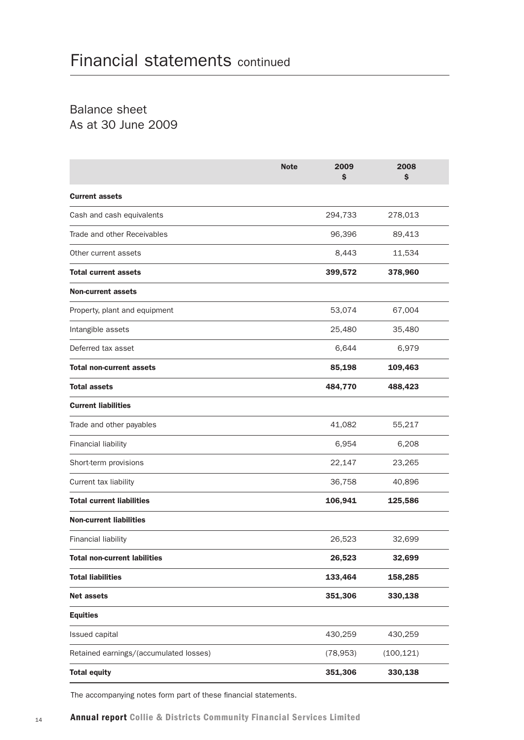Balance sheet As at 30 June 2009

|                                        | 2009<br><b>Note</b><br>\$ | 2008<br>\$ |
|----------------------------------------|---------------------------|------------|
| <b>Current assets</b>                  |                           |            |
| Cash and cash equivalents              | 294,733                   | 278,013    |
| Trade and other Receivables            | 96,396                    | 89,413     |
| Other current assets                   | 8,443                     | 11,534     |
| <b>Total current assets</b>            | 399,572                   | 378,960    |
| <b>Non-current assets</b>              |                           |            |
| Property, plant and equipment          | 53,074                    | 67,004     |
| Intangible assets                      | 25,480                    | 35,480     |
| Deferred tax asset                     | 6,644                     | 6,979      |
| <b>Total non-current assets</b>        | 85,198                    | 109,463    |
| <b>Total assets</b>                    | 484,770                   | 488,423    |
| <b>Current liabilities</b>             |                           |            |
| Trade and other payables               | 41,082                    | 55,217     |
| <b>Financial liability</b>             | 6,954                     | 6,208      |
| Short-term provisions                  | 22,147                    | 23,265     |
| Current tax liability                  | 36,758                    | 40,896     |
| <b>Total current liabilities</b>       | 106,941                   | 125,586    |
| <b>Non-current liabilities</b>         |                           |            |
| <b>Financial liability</b>             | 26,523                    | 32,699     |
| <b>Total non-current labilities</b>    | 26,523                    | 32,699     |
| <b>Total liabilities</b>               | 133,464                   | 158,285    |
| <b>Net assets</b>                      | 351,306                   | 330,138    |
| <b>Equities</b>                        |                           |            |
| Issued capital                         | 430,259                   | 430,259    |
| Retained earnings/(accumulated losses) | (78, 953)                 | (100, 121) |
| <b>Total equity</b>                    | 351,306                   | 330,138    |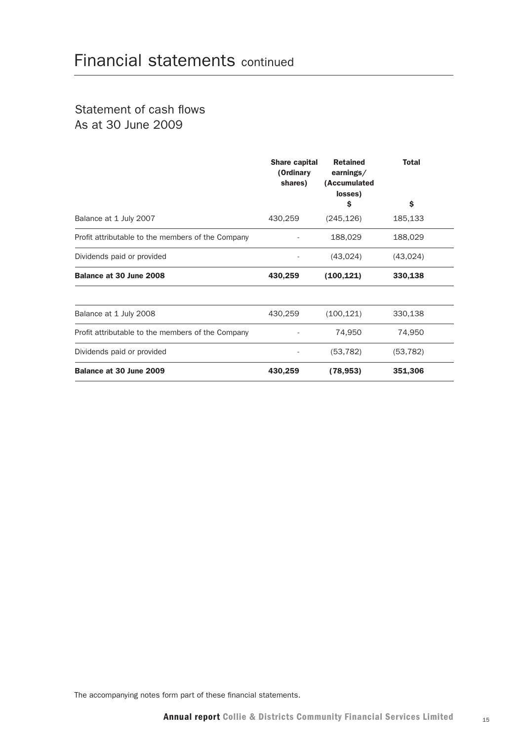## Statement of cash flows As at 30 June 2009

|                                                   | <b>Share capital</b><br>(Ordinary<br>shares) | <b>Retained</b><br>earnings/<br>(Accumulated<br>losses) | <b>Total</b> |
|---------------------------------------------------|----------------------------------------------|---------------------------------------------------------|--------------|
|                                                   |                                              | \$                                                      | \$           |
| Balance at 1 July 2007                            | 430,259                                      | (245, 126)                                              | 185,133      |
| Profit attributable to the members of the Company |                                              | 188,029                                                 | 188,029      |
| Dividends paid or provided                        |                                              | (43,024)                                                | (43,024)     |
| Balance at 30 June 2008                           | 430,259                                      | (100, 121)                                              | 330,138      |
| Balance at 1 July 2008                            | 430,259                                      | (100, 121)                                              | 330,138      |
| Profit attributable to the members of the Company |                                              | 74,950                                                  | 74,950       |
| Dividends paid or provided                        |                                              | (53, 782)                                               | (53, 782)    |
| Balance at 30 June 2009                           | 430,259                                      | (78, 953)                                               | 351,306      |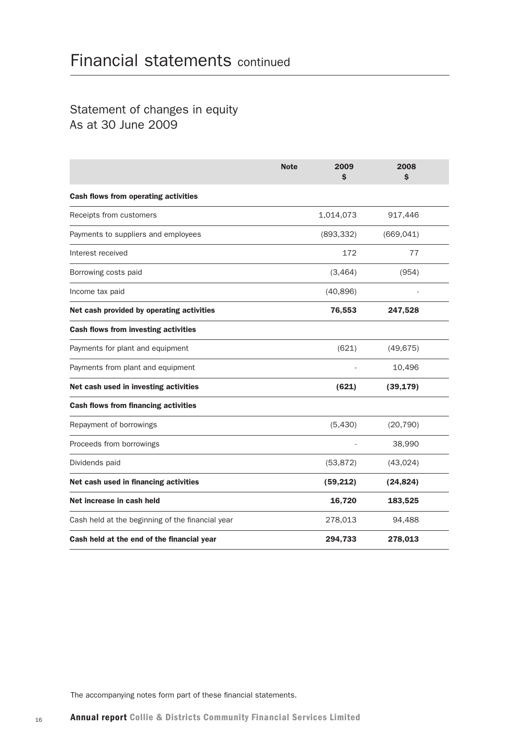## Statement of changes in equity As at 30 June 2009

|                                                  | <b>Note</b><br>2009<br>\$ | 2008<br>\$ |
|--------------------------------------------------|---------------------------|------------|
| <b>Cash flows from operating activities</b>      |                           |            |
| Receipts from customers                          | 1,014,073                 | 917,446    |
| Payments to suppliers and employees              | (893, 332)                | (669, 041) |
| Interest received                                | 172                       | 77         |
| Borrowing costs paid                             | (3, 464)                  | (954)      |
| Income tax paid                                  | (40, 896)                 |            |
| Net cash provided by operating activities        | 76,553                    | 247,528    |
| <b>Cash flows from investing activities</b>      |                           |            |
| Payments for plant and equipment                 | (621)                     | (49, 675)  |
| Payments from plant and equipment                |                           | 10,496     |
| Net cash used in investing activities            | (621)                     | (39, 179)  |
| <b>Cash flows from financing activities</b>      |                           |            |
| Repayment of borrowings                          | (5,430)                   | (20, 790)  |
| Proceeds from borrowings                         |                           | 38,990     |
| Dividends paid                                   | (53, 872)                 | (43,024)   |
| Net cash used in financing activities            | (59, 212)                 | (24, 824)  |
| Net increase in cash held                        | 16,720                    | 183,525    |
| Cash held at the beginning of the financial year | 278,013                   | 94,488     |
| Cash held at the end of the financial year       | 294,733                   | 278,013    |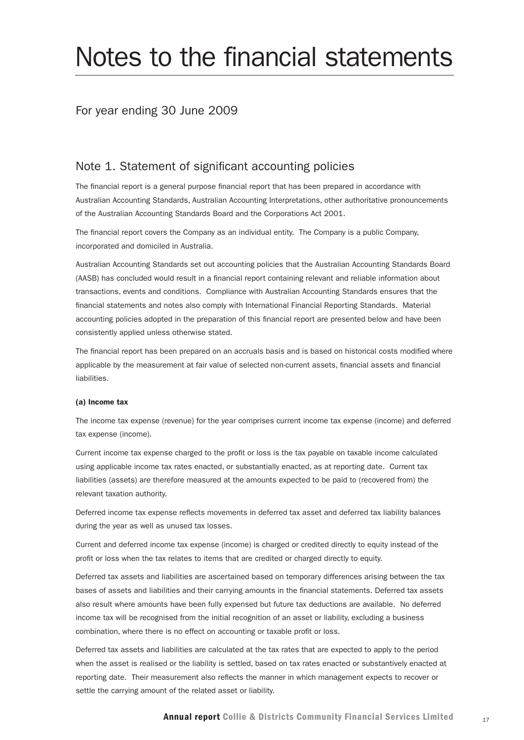# Notes to the financial statements

#### For year ending 30 June 2009

#### Note 1. Statement of significant accounting policies

The financial report is a general purpose financial report that has been prepared in accordance with Australian Accounting Standards, Australian Accounting Interpretations, other authoritative pronouncements of the Australian Accounting Standards Board and the Corporations Act 2001.

The financial report covers the Company as an individual entity. The Company is a public Company, incorporated and domiciled in Australia.

Australian Accounting Standards set out accounting policies that the Australian Accounting Standards Board (AASB) has concluded would result in a financial report containing relevant and reliable information about transactions, events and conditions. Compliance with Australian Accounting Standards ensures that the financial statements and notes also comply with International Financial Reporting Standards. Material accounting policies adopted in the preparation of this financial report are presented below and have been consistently applied unless otherwise stated.

The financial report has been prepared on an accruals basis and is based on historical costs modified where applicable by the measurement at fair value of selected non-current assets, financial assets and financial liabilities.

#### (a) Income tax

The income tax expense (revenue) for the year comprises current income tax expense (income) and deferred tax expense (income).

Current income tax expense charged to the profit or loss is the tax payable on taxable income calculated using applicable income tax rates enacted, or substantially enacted, as at reporting date. Current tax liabilities (assets) are therefore measured at the amounts expected to be paid to (recovered from) the relevant taxation authority.

Deferred income tax expense reflects movements in deferred tax asset and deferred tax liability balances during the year as well as unused tax losses.

Current and deferred income tax expense (income) is charged or credited directly to equity instead of the profit or loss when the tax relates to items that are credited or charged directly to equity.

Deferred tax assets and liabilities are ascertained based on temporary differences arising between the tax bases of assets and liabilities and their carrying amounts in the financial statements. Deferred tax assets also result where amounts have been fully expensed but future tax deductions are available. No deferred income tax will be recognised from the initial recognition of an asset or liability, excluding a business combination, where there is no effect on accounting or taxable profit or loss.

Deferred tax assets and liabilities are calculated at the tax rates that are expected to apply to the period when the asset is realised or the liability is settled, based on tax rates enacted or substantively enacted at reporting date. Their measurement also reflects the manner in which management expects to recover or settle the carrying amount of the related asset or liability.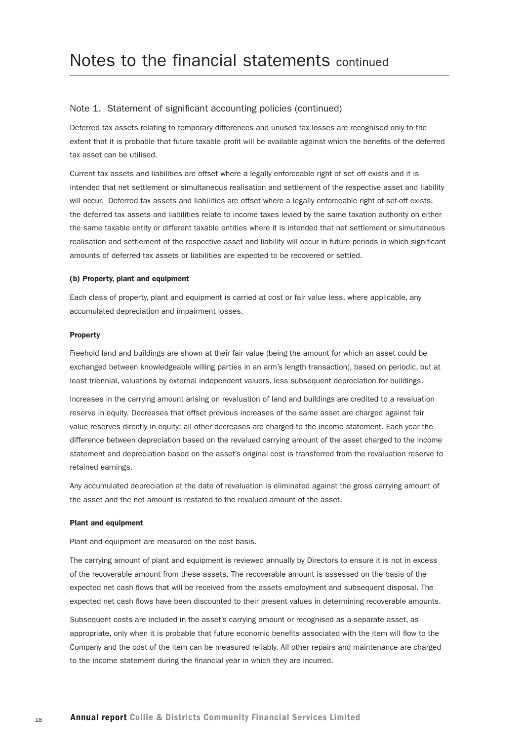Deferred tax assets relating to temporary differences and unused tax losses are recognised only to the extent that it is probable that future taxable profit will be available against which the benefits of the deferred tax asset can be utilised.

Current tax assets and liabilities are offset where a legally enforceable right of set off exists and it is intended that net settlement or simultaneous realisation and settlement of the respective asset and liability will occur. Deferred tax assets and liabilities are offset where a legally enforceable right of set-off exists, the deferred tax assets and liabilities relate to income taxes levied by the same taxation authority on either the same taxable entity or different taxable entities where it is intended that net settlement or simultaneous realisation and settlement of the respective asset and liability will occur in future periods in which significant amounts of deferred tax assets or liabilities are expected to be recovered or settled.

#### (b) Property, plant and equipment

Each class of property, plant and equipment is carried at cost or fair value less, where applicable, any accumulated depreciation and impairment losses.

#### Property

Freehold land and buildings are shown at their fair value (being the amount for which an asset could be exchanged between knowledgeable willing parties in an arm's length transaction), based on periodic, but at least triennial, valuations by external independent valuers, less subsequent depreciation for buildings.

Increases in the carrying amount arising on revaluation of land and buildings are credited to a revaluation reserve in equity. Decreases that offset previous increases of the same asset are charged against fair value reserves directly in equity; all other decreases are charged to the income statement. Each year the difference between depreciation based on the revalued carrying amount of the asset charged to the income statement and depreciation based on the asset's original cost is transferred from the revaluation reserve to retained earnings.

Any accumulated depreciation at the date of revaluation is eliminated against the gross carrying amount of the asset and the net amount is restated to the revalued amount of the asset.

#### Plant and equipment

Plant and equipment are measured on the cost basis.

The carrying amount of plant and equipment is reviewed annually by Directors to ensure it is not in excess of the recoverable amount from these assets. The recoverable amount is assessed on the basis of the expected net cash flows that will be received from the assets employment and subsequent disposal. The expected net cash flows have been discounted to their present values in determining recoverable amounts.

Subsequent costs are included in the asset's carrying amount or recognised as a separate asset, as appropriate, only when it is probable that future economic benefits associated with the item will flow to the Company and the cost of the item can be measured reliably. All other repairs and maintenance are charged to the income statement during the financial year in which they are incurred.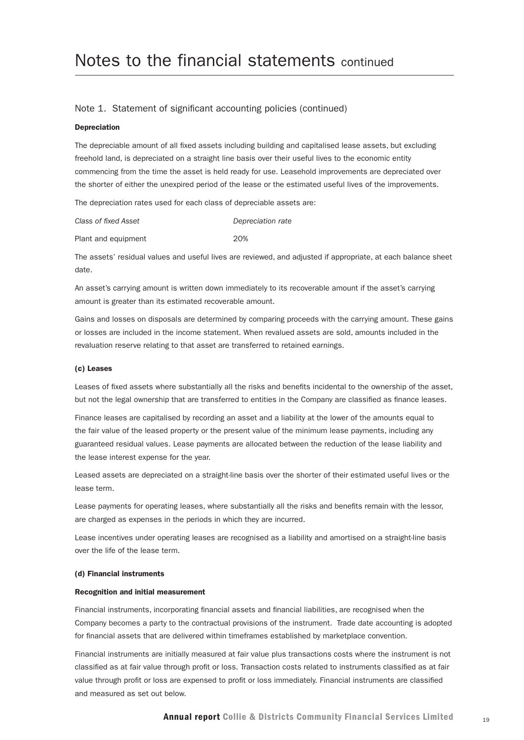#### Depreciation

The depreciable amount of all fixed assets including building and capitalised lease assets, but excluding freehold land, is depreciated on a straight line basis over their useful lives to the economic entity commencing from the time the asset is held ready for use. Leasehold improvements are depreciated over the shorter of either the unexpired period of the lease or the estimated useful lives of the improvements.

The depreciation rates used for each class of depreciable assets are:

| Class of fixed Asset | Depreciation rate |
|----------------------|-------------------|
| Plant and equipment  | 20%               |

The assets' residual values and useful lives are reviewed, and adjusted if appropriate, at each balance sheet date.

An asset's carrying amount is written down immediately to its recoverable amount if the asset's carrying amount is greater than its estimated recoverable amount.

Gains and losses on disposals are determined by comparing proceeds with the carrying amount. These gains or losses are included in the income statement. When revalued assets are sold, amounts included in the revaluation reserve relating to that asset are transferred to retained earnings.

#### (c) Leases

Leases of fixed assets where substantially all the risks and benefits incidental to the ownership of the asset, but not the legal ownership that are transferred to entities in the Company are classified as finance leases.

Finance leases are capitalised by recording an asset and a liability at the lower of the amounts equal to the fair value of the leased property or the present value of the minimum lease payments, including any guaranteed residual values. Lease payments are allocated between the reduction of the lease liability and the lease interest expense for the year.

Leased assets are depreciated on a straight-line basis over the shorter of their estimated useful lives or the lease term.

Lease payments for operating leases, where substantially all the risks and benefits remain with the lessor, are charged as expenses in the periods in which they are incurred.

Lease incentives under operating leases are recognised as a liability and amortised on a straight-line basis over the life of the lease term.

#### (d) Financial instruments

#### Recognition and initial measurement

Financial instruments, incorporating financial assets and financial liabilities, are recognised when the Company becomes a party to the contractual provisions of the instrument. Trade date accounting is adopted for financial assets that are delivered within timeframes established by marketplace convention.

Financial instruments are initially measured at fair value plus transactions costs where the instrument is not classified as at fair value through profit or loss. Transaction costs related to instruments classified as at fair value through profit or loss are expensed to profit or loss immediately. Financial instruments are classified and measured as set out below.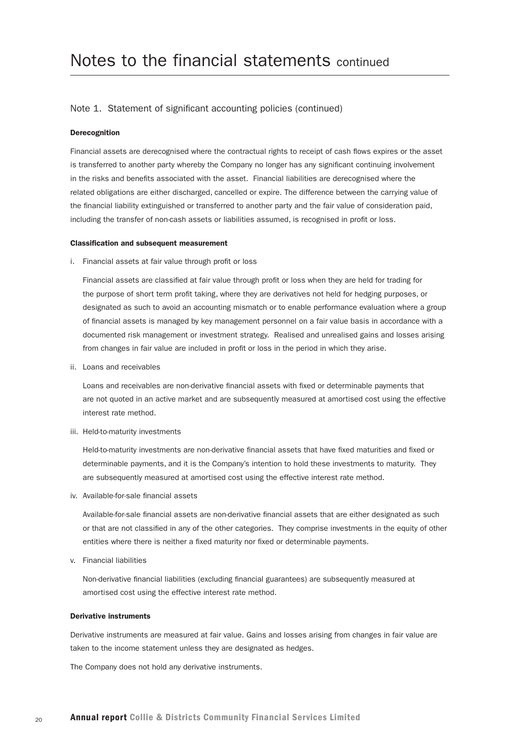#### Derecognition

Financial assets are derecognised where the contractual rights to receipt of cash flows expires or the asset is transferred to another party whereby the Company no longer has any significant continuing involvement in the risks and benefits associated with the asset. Financial liabilities are derecognised where the related obligations are either discharged, cancelled or expire. The difference between the carrying value of the financial liability extinguished or transferred to another party and the fair value of consideration paid, including the transfer of non-cash assets or liabilities assumed, is recognised in profit or loss.

#### Classification and subsequent measurement

i. Financial assets at fair value through profit or loss

Financial assets are classified at fair value through profit or loss when they are held for trading for the purpose of short term profit taking, where they are derivatives not held for hedging purposes, or designated as such to avoid an accounting mismatch or to enable performance evaluation where a group of financial assets is managed by key management personnel on a fair value basis in accordance with a documented risk management or investment strategy. Realised and unrealised gains and losses arising from changes in fair value are included in profit or loss in the period in which they arise.

ii. Loans and receivables

Loans and receivables are non-derivative financial assets with fixed or determinable payments that are not quoted in an active market and are subsequently measured at amortised cost using the effective interest rate method.

iii. Held-to-maturity investments

Held-to-maturity investments are non-derivative financial assets that have fixed maturities and fixed or determinable payments, and it is the Company's intention to hold these investments to maturity. They are subsequently measured at amortised cost using the effective interest rate method.

iv. Available-for-sale financial assets

Available-for-sale financial assets are non-derivative financial assets that are either designated as such or that are not classified in any of the other categories. They comprise investments in the equity of other entities where there is neither a fixed maturity nor fixed or determinable payments.

v. Financial liabilities

Non-derivative financial liabilities (excluding financial guarantees) are subsequently measured at amortised cost using the effective interest rate method.

#### Derivative instruments

Derivative instruments are measured at fair value. Gains and losses arising from changes in fair value are taken to the income statement unless they are designated as hedges.

The Company does not hold any derivative instruments.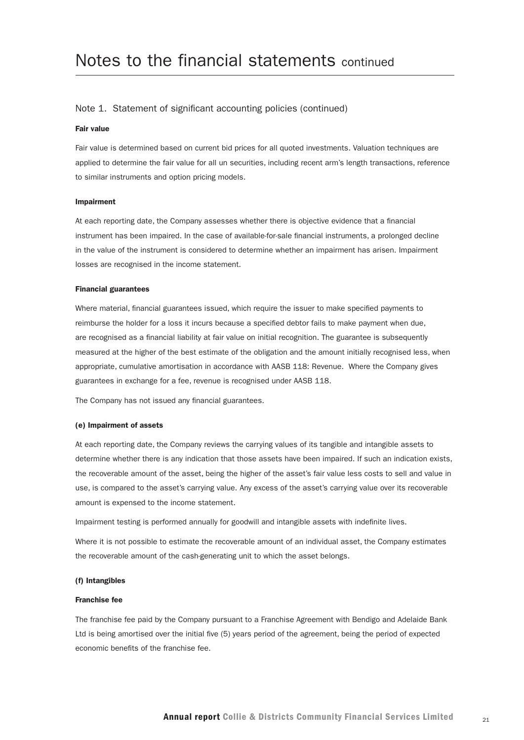#### Fair value

Fair value is determined based on current bid prices for all quoted investments. Valuation techniques are applied to determine the fair value for all un securities, including recent arm's length transactions, reference to similar instruments and option pricing models.

#### Impairment

At each reporting date, the Company assesses whether there is objective evidence that a financial instrument has been impaired. In the case of available-for-sale financial instruments, a prolonged decline in the value of the instrument is considered to determine whether an impairment has arisen. Impairment losses are recognised in the income statement.

#### Financial guarantees

Where material, financial guarantees issued, which require the issuer to make specified payments to reimburse the holder for a loss it incurs because a specified debtor fails to make payment when due, are recognised as a financial liability at fair value on initial recognition. The guarantee is subsequently measured at the higher of the best estimate of the obligation and the amount initially recognised less, when appropriate, cumulative amortisation in accordance with AASB 118: Revenue. Where the Company gives guarantees in exchange for a fee, revenue is recognised under AASB 118.

The Company has not issued any financial guarantees.

#### (e) Impairment of assets

At each reporting date, the Company reviews the carrying values of its tangible and intangible assets to determine whether there is any indication that those assets have been impaired. If such an indication exists, the recoverable amount of the asset, being the higher of the asset's fair value less costs to sell and value in use, is compared to the asset's carrying value. Any excess of the asset's carrying value over its recoverable amount is expensed to the income statement.

Impairment testing is performed annually for goodwill and intangible assets with indefinite lives.

Where it is not possible to estimate the recoverable amount of an individual asset, the Company estimates the recoverable amount of the cash-generating unit to which the asset belongs.

#### (f) Intangibles

#### Franchise fee

The franchise fee paid by the Company pursuant to a Franchise Agreement with Bendigo and Adelaide Bank Ltd is being amortised over the initial five (5) years period of the agreement, being the period of expected economic benefits of the franchise fee.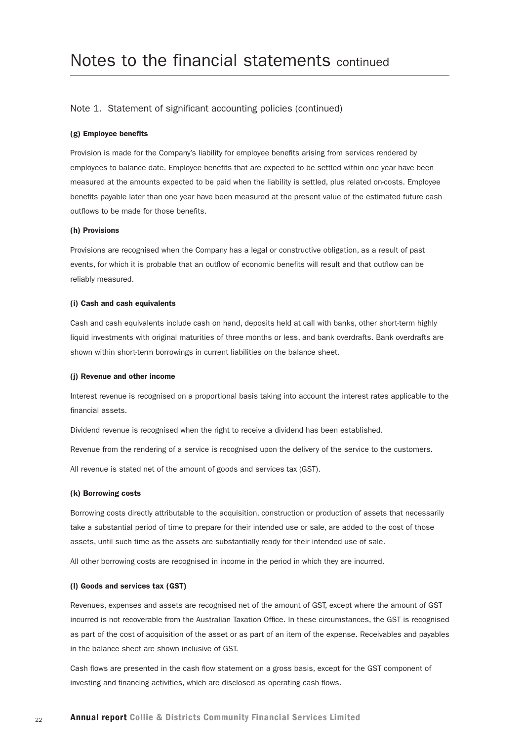#### (g) Employee benefits

Provision is made for the Company's liability for employee benefits arising from services rendered by employees to balance date. Employee benefits that are expected to be settled within one year have been measured at the amounts expected to be paid when the liability is settled, plus related on-costs. Employee benefits payable later than one year have been measured at the present value of the estimated future cash outflows to be made for those benefits.

#### (h) Provisions

Provisions are recognised when the Company has a legal or constructive obligation, as a result of past events, for which it is probable that an outflow of economic benefits will result and that outflow can be reliably measured.

#### (i) Cash and cash equivalents

Cash and cash equivalents include cash on hand, deposits held at call with banks, other short-term highly liquid investments with original maturities of three months or less, and bank overdrafts. Bank overdrafts are shown within short-term borrowings in current liabilities on the balance sheet.

#### (j) Revenue and other income

Interest revenue is recognised on a proportional basis taking into account the interest rates applicable to the financial assets.

Dividend revenue is recognised when the right to receive a dividend has been established.

Revenue from the rendering of a service is recognised upon the delivery of the service to the customers.

All revenue is stated net of the amount of goods and services tax (GST).

#### (k) Borrowing costs

Borrowing costs directly attributable to the acquisition, construction or production of assets that necessarily take a substantial period of time to prepare for their intended use or sale, are added to the cost of those assets, until such time as the assets are substantially ready for their intended use of sale.

All other borrowing costs are recognised in income in the period in which they are incurred.

#### (l) Goods and services tax (GST)

Revenues, expenses and assets are recognised net of the amount of GST, except where the amount of GST incurred is not recoverable from the Australian Taxation Office. In these circumstances, the GST is recognised as part of the cost of acquisition of the asset or as part of an item of the expense. Receivables and payables in the balance sheet are shown inclusive of GST.

Cash flows are presented in the cash flow statement on a gross basis, except for the GST component of investing and financing activities, which are disclosed as operating cash flows.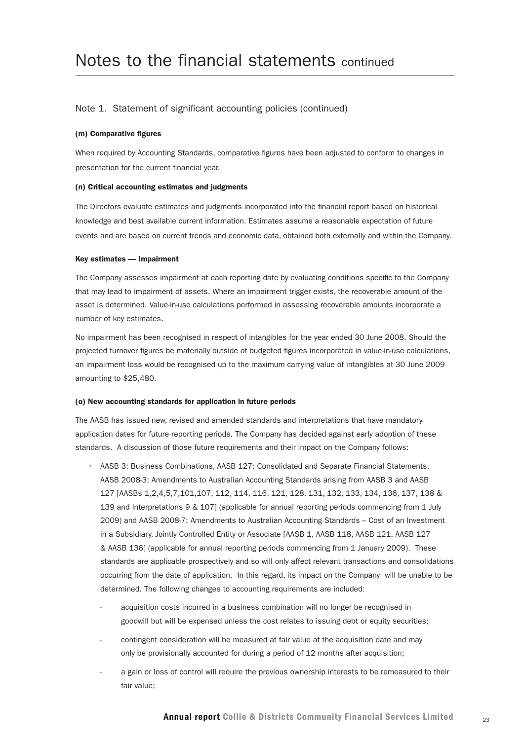#### (m) Comparative figures

When required by Accounting Standards, comparative figures have been adjusted to conform to changes in presentation for the current financial year.

#### (n) Critical accounting estimates and judgments

The Directors evaluate estimates and judgments incorporated into the financial report based on historical knowledge and best available current information. Estimates assume a reasonable expectation of future events and are based on current trends and economic data, obtained both externally and within the Company.

#### Key estimates — Impairment

The Company assesses impairment at each reporting date by evaluating conditions specific to the Company that may lead to impairment of assets. Where an impairment trigger exists, the recoverable amount of the asset is determined. Value-in-use calculations performed in assessing recoverable amounts incorporate a number of key estimates.

No impairment has been recognised in respect of intangibles for the year ended 30 June 2008. Should the projected turnover figures be materially outside of budgeted figures incorporated in value-in-use calculations, an impairment loss would be recognised up to the maximum carrying value of intangibles at 30 June 2009 amounting to \$25,480.

#### (o) New accounting standards for application in future periods

The AASB has issued new, revised and amended standards and interpretations that have mandatory application dates for future reporting periods. The Company has decided against early adoption of these standards. A discussion of those future requirements and their impact on the Company follows:

- AASB 3: Business Combinations, AASB 127: Consolidated and Separate Financial Statements, AASB 2008-3: Amendments to Australian Accounting Standards arising from AASB 3 and AASB 127 [AASBs 1,2,4,5,7,101,107, 112, 114, 116, 121, 128, 131, 132, 133, 134, 136, 137, 138 & 139 and Interpretations 9 & 107] (applicable for annual reporting periods commencing from 1 July 2009) and AASB 2008-7: Amendments to Australian Accounting Standards – Cost of an Investment in a Subsidiary, Jointly Controlled Entity or Associate [AASB 1, AASB 118, AASB 121, AASB 127 & AASB 136] (applicable for annual reporting periods commencing from 1 January 2009). These standards are applicable prospectively and so will only affect relevant transactions and consolidations occurring from the date of application. In this regard, its impact on the Company will be unable to be determined. The following changes to accounting requirements are included:
	- acquisition costs incurred in a business combination will no longer be recognised in goodwill but will be expensed unless the cost relates to issuing debt or equity securities;
	- contingent consideration will be measured at fair value at the acquisition date and may only be provisionally accounted for during a period of 12 months after acquisition;
	- a gain or loss of control will require the previous ownership interests to be remeasured to their fair value;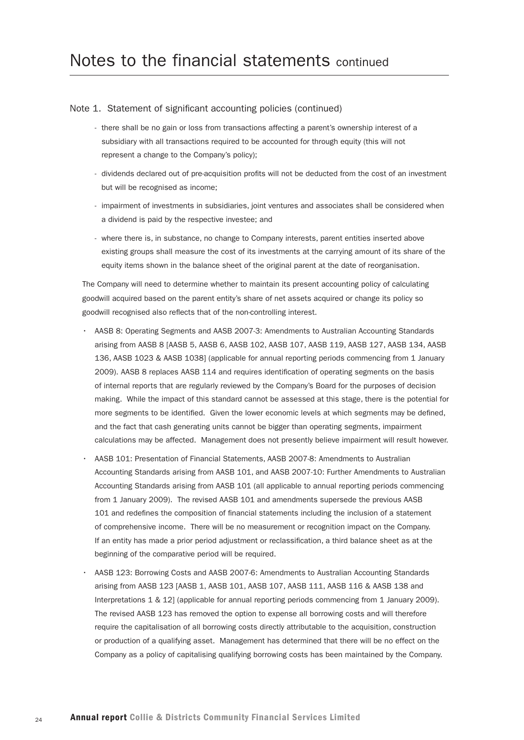- there shall be no gain or loss from transactions affecting a parent's ownership interest of a subsidiary with all transactions required to be accounted for through equity (this will not represent a change to the Company's policy);
- dividends declared out of pre-acquisition profits will not be deducted from the cost of an investment but will be recognised as income;
- impairment of investments in subsidiaries, joint ventures and associates shall be considered when a dividend is paid by the respective investee; and
- where there is, in substance, no change to Company interests, parent entities inserted above existing groups shall measure the cost of its investments at the carrying amount of its share of the equity items shown in the balance sheet of the original parent at the date of reorganisation.

The Company will need to determine whether to maintain its present accounting policy of calculating goodwill acquired based on the parent entity's share of net assets acquired or change its policy so goodwill recognised also reflects that of the non-controlling interest.

- AASB 8: Operating Segments and AASB 2007-3: Amendments to Australian Accounting Standards arising from AASB 8 [AASB 5, AASB 6, AASB 102, AASB 107, AASB 119, AASB 127, AASB 134, AASB 136, AASB 1023 & AASB 1038] (applicable for annual reporting periods commencing from 1 January 2009). AASB 8 replaces AASB 114 and requires identification of operating segments on the basis of internal reports that are regularly reviewed by the Company's Board for the purposes of decision making. While the impact of this standard cannot be assessed at this stage, there is the potential for more segments to be identified. Given the lower economic levels at which segments may be defined, and the fact that cash generating units cannot be bigger than operating segments, impairment calculations may be affected. Management does not presently believe impairment will result however.
- AASB 101: Presentation of Financial Statements, AASB 2007-8: Amendments to Australian Accounting Standards arising from AASB 101, and AASB 2007-10: Further Amendments to Australian Accounting Standards arising from AASB 101 (all applicable to annual reporting periods commencing from 1 January 2009). The revised AASB 101 and amendments supersede the previous AASB 101 and redefines the composition of financial statements including the inclusion of a statement of comprehensive income. There will be no measurement or recognition impact on the Company. If an entity has made a prior period adjustment or reclassification, a third balance sheet as at the beginning of the comparative period will be required.
- AASB 123: Borrowing Costs and AASB 2007-6: Amendments to Australian Accounting Standards arising from AASB 123 [AASB 1, AASB 101, AASB 107, AASB 111, AASB 116 & AASB 138 and Interpretations 1 & 12] (applicable for annual reporting periods commencing from 1 January 2009). The revised AASB 123 has removed the option to expense all borrowing costs and will therefore require the capitalisation of all borrowing costs directly attributable to the acquisition, construction or production of a qualifying asset. Management has determined that there will be no effect on the Company as a policy of capitalising qualifying borrowing costs has been maintained by the Company.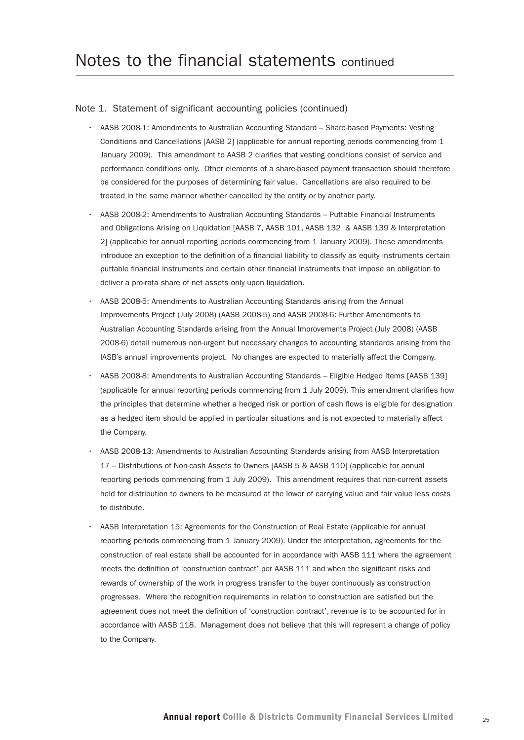- AASB 2008-1: Amendments to Australian Accounting Standard Share-based Payments: Vesting Conditions and Cancellations [AASB 2] (applicable for annual reporting periods commencing from 1 January 2009). This amendment to AASB 2 clarifies that vesting conditions consist of service and performance conditions only. Other elements of a share-based payment transaction should therefore be considered for the purposes of determining fair value. Cancellations are also required to be treated in the same manner whether cancelled by the entity or by another party.
- AASB 2008-2: Amendments to Australian Accounting Standards Puttable Financial Instruments and Obligations Arising on Liquidation [AASB 7, AASB 101, AASB 132 & AASB 139 & Interpretation 2] (applicable for annual reporting periods commencing from 1 January 2009). These amendments introduce an exception to the definition of a financial liability to classify as equity instruments certain puttable financial instruments and certain other financial instruments that impose an obligation to deliver a pro-rata share of net assets only upon liquidation.
- AASB 2008-5: Amendments to Australian Accounting Standards arising from the Annual Improvements Project (July 2008) (AASB 2008-5) and AASB 2008-6: Further Amendments to Australian Accounting Standards arising from the Annual Improvements Project (July 2008) (AASB 2008-6) detail numerous non-urgent but necessary changes to accounting standards arising from the IASB's annual improvements project. No changes are expected to materially affect the Company.
- AASB 2008-8: Amendments to Australian Accounting Standards Eligible Hedged Items [AASB 139] (applicable for annual reporting periods commencing from 1 July 2009). This amendment clarifies how the principles that determine whether a hedged risk or portion of cash flows is eligible for designation as a hedged item should be applied in particular situations and is not expected to materially affect the Company.
- AASB 2008-13: Amendments to Australian Accounting Standards arising from AASB Interpretation 17 – Distributions of Non-cash Assets to Owners [AASB 5 & AASB 110] (applicable for annual reporting periods commencing from 1 July 2009). This amendment requires that non-current assets held for distribution to owners to be measured at the lower of carrying value and fair value less costs to distribute.
- AASB Interpretation 15: Agreements for the Construction of Real Estate (applicable for annual reporting periods commencing from 1 January 2009). Under the interpretation, agreements for the construction of real estate shall be accounted for in accordance with AASB 111 where the agreement meets the definition of 'construction contract' per AASB 111 and when the significant risks and rewards of ownership of the work in progress transfer to the buyer continuously as construction progresses. Where the recognition requirements in relation to construction are satisfied but the agreement does not meet the definition of 'construction contract', revenue is to be accounted for in accordance with AASB 118. Management does not believe that this will represent a change of policy to the Company.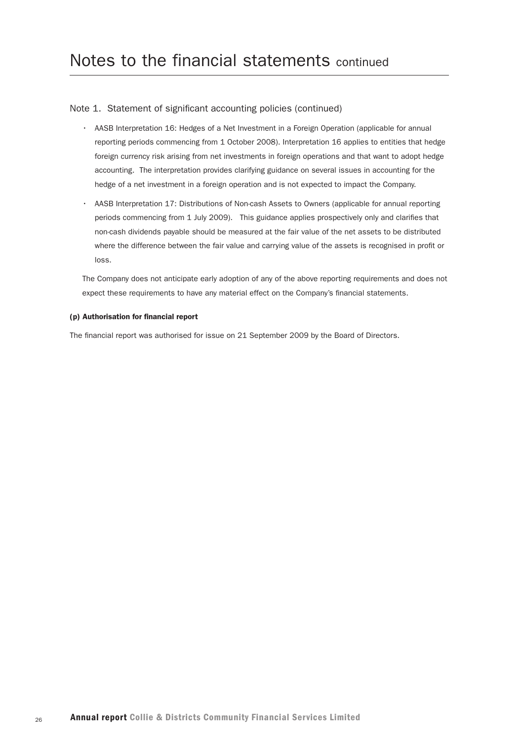- AASB Interpretation 16: Hedges of a Net Investment in a Foreign Operation (applicable for annual reporting periods commencing from 1 October 2008). Interpretation 16 applies to entities that hedge foreign currency risk arising from net investments in foreign operations and that want to adopt hedge accounting. The interpretation provides clarifying guidance on several issues in accounting for the hedge of a net investment in a foreign operation and is not expected to impact the Company.
- • AASB Interpretation 17: Distributions of Non-cash Assets to Owners (applicable for annual reporting periods commencing from 1 July 2009). This guidance applies prospectively only and clarifies that non-cash dividends payable should be measured at the fair value of the net assets to be distributed where the difference between the fair value and carrying value of the assets is recognised in profit or loss.

The Company does not anticipate early adoption of any of the above reporting requirements and does not expect these requirements to have any material effect on the Company's financial statements.

#### (p) Authorisation for financial report

The financial report was authorised for issue on 21 September 2009 by the Board of Directors.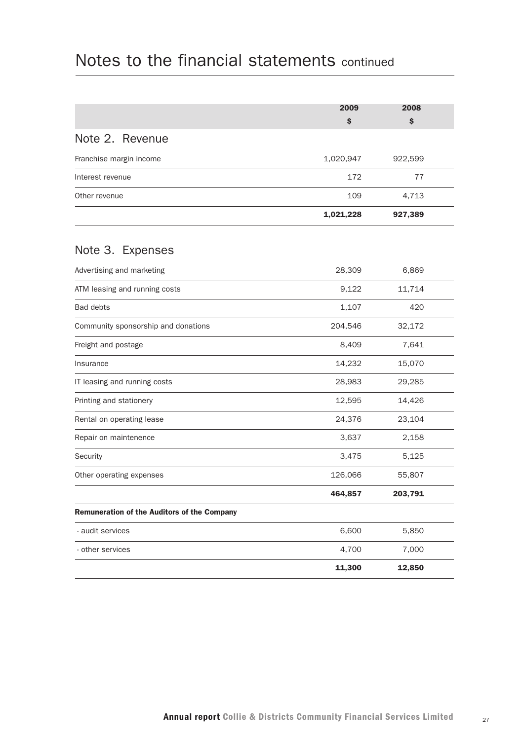|                                             | 2009      | 2008    |  |
|---------------------------------------------|-----------|---------|--|
|                                             | \$        | \$      |  |
| Note 2. Revenue                             |           |         |  |
| Franchise margin income                     | 1,020,947 | 922,599 |  |
| Interest revenue                            | 172       | 77      |  |
| Other revenue                               | 109       | 4,713   |  |
|                                             | 1,021,228 | 927,389 |  |
| Note 3. Expenses                            |           |         |  |
| Advertising and marketing                   | 28,309    | 6,869   |  |
| ATM leasing and running costs               | 9,122     | 11,714  |  |
| <b>Bad debts</b>                            | 1,107     | 420     |  |
| Community sponsorship and donations         | 204,546   | 32,172  |  |
| Freight and postage                         | 8,409     | 7,641   |  |
| Insurance                                   | 14,232    | 15,070  |  |
| IT leasing and running costs                | 28,983    | 29,285  |  |
| Printing and stationery                     | 12,595    | 14,426  |  |
| Rental on operating lease                   | 24,376    | 23,104  |  |
| Repair on maintenence                       | 3,637     | 2,158   |  |
| Security                                    | 3,475     | 5,125   |  |
| Other operating expenses                    | 126,066   | 55,807  |  |
|                                             | 464,857   | 203,791 |  |
| Remuneration of the Auditors of the Company |           |         |  |
| - audit services                            | 6,600     | 5,850   |  |
| - other services                            | 4,700     | 7,000   |  |
|                                             | 11,300    | 12,850  |  |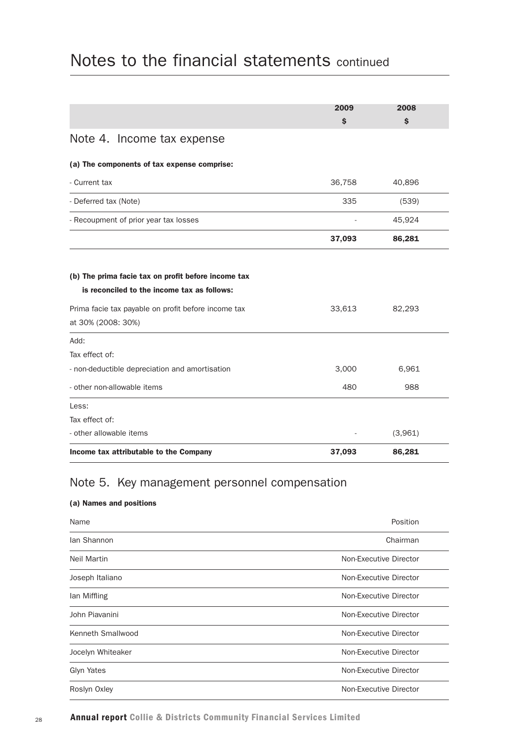|                                                                                   | 2009   | 2008    |
|-----------------------------------------------------------------------------------|--------|---------|
|                                                                                   | \$     | \$      |
| Note 4. Income tax expense                                                        |        |         |
| (a) The components of tax expense comprise:                                       |        |         |
| - Current tax                                                                     | 36,758 | 40,896  |
| - Deferred tax (Note)                                                             | 335    | (539)   |
| - Recoupment of prior year tax losses                                             |        | 45,924  |
|                                                                                   | 37,093 | 86,281  |
|                                                                                   |        |         |
| (b) The prima facie tax on profit before income tax                               |        |         |
| is reconciled to the income tax as follows:                                       |        |         |
| Prima facie tax payable on profit before income tax<br>at 30% (2008: 30%)         | 33,613 | 82,293  |
| Add:                                                                              |        |         |
| Tax effect of:                                                                    |        |         |
| - non-deductible depreciation and amortisation                                    | 3,000  | 6,961   |
|                                                                                   | 480    | 988     |
|                                                                                   |        |         |
|                                                                                   |        |         |
|                                                                                   |        |         |
| - other non-allowable items<br>Less:<br>Tax effect of:<br>- other allowable items |        | (3,961) |

## Note 5. Key management personnel compensation

#### (a) Names and positions

| Name               | Position               |
|--------------------|------------------------|
| lan Shannon        | Chairman               |
| <b>Neil Martin</b> | Non-Executive Director |
| Joseph Italiano    | Non-Executive Director |
| lan Miffling       | Non-Executive Director |
| John Piavanini     | Non-Executive Director |
| Kenneth Smallwood  | Non-Executive Director |
| Jocelyn Whiteaker  | Non-Executive Director |
| Glyn Yates         | Non-Executive Director |
| Roslyn Oxley       | Non-Executive Director |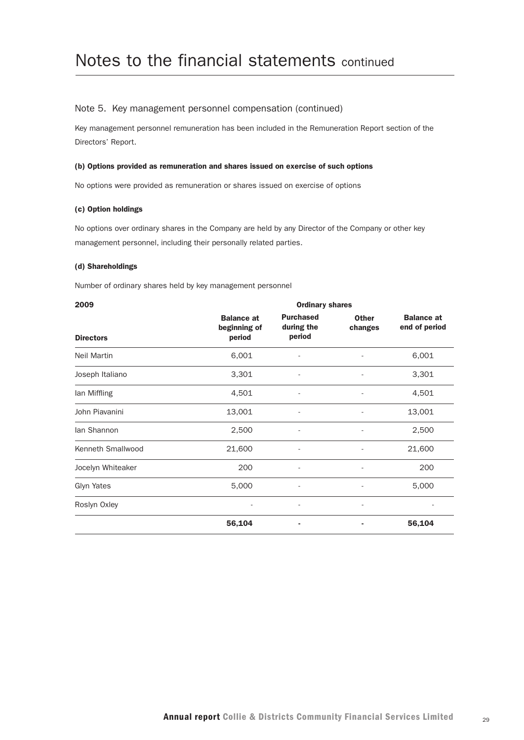#### Note 5. Key management personnel compensation (continued)

Key management personnel remuneration has been included in the Remuneration Report section of the Directors' Report.

#### (b) Options provided as remuneration and shares issued on exercise of such options

No options were provided as remuneration or shares issued on exercise of options

#### (c) Option holdings

No options over ordinary shares in the Company are held by any Director of the Company or other key management personnel, including their personally related parties.

#### (d) Shareholdings

Number of ordinary shares held by key management personnel

| 2009               | <b>Ordinary shares</b>                      |                                          |                          |                                    |
|--------------------|---------------------------------------------|------------------------------------------|--------------------------|------------------------------------|
| <b>Directors</b>   | <b>Balance at</b><br>beginning of<br>period | <b>Purchased</b><br>during the<br>period | <b>Other</b><br>changes  | <b>Balance at</b><br>end of period |
| <b>Neil Martin</b> | 6,001                                       |                                          |                          | 6,001                              |
| Joseph Italiano    | 3,301                                       |                                          | ۰                        | 3,301                              |
| lan Miffling       | 4,501                                       |                                          |                          | 4,501                              |
| John Piavanini     | 13,001                                      |                                          |                          | 13,001                             |
| lan Shannon        | 2,500                                       |                                          | ۰                        | 2,500                              |
| Kenneth Smallwood  | 21,600                                      | $\qquad \qquad \blacksquare$             |                          | 21,600                             |
| Jocelyn Whiteaker  | 200                                         | $\overline{\phantom{a}}$                 | $\overline{\phantom{a}}$ | 200                                |
| Glyn Yates         | 5,000                                       | $\overline{\phantom{a}}$                 | ٠                        | 5,000                              |
| Roslyn Oxley       | ۰                                           | $\overline{\phantom{a}}$                 | ٠                        |                                    |
|                    | 56,104                                      | ٠                                        |                          | 56,104                             |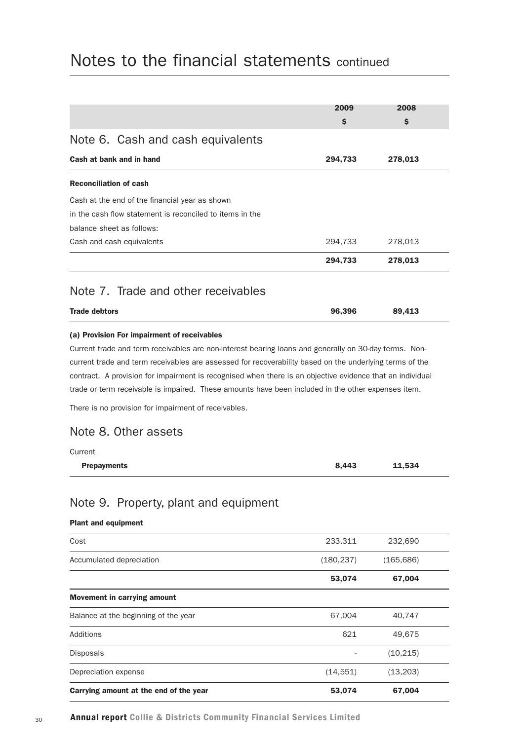|                               |                                                                                                                                                                                                                                                                                                                                                                                                                                                                                                                     | 2009       | 2008       |
|-------------------------------|---------------------------------------------------------------------------------------------------------------------------------------------------------------------------------------------------------------------------------------------------------------------------------------------------------------------------------------------------------------------------------------------------------------------------------------------------------------------------------------------------------------------|------------|------------|
|                               |                                                                                                                                                                                                                                                                                                                                                                                                                                                                                                                     | \$         | \$         |
|                               | Note 6. Cash and cash equivalents                                                                                                                                                                                                                                                                                                                                                                                                                                                                                   |            |            |
|                               | Cash at bank and in hand                                                                                                                                                                                                                                                                                                                                                                                                                                                                                            | 294,733    | 278,013    |
| <b>Reconciliation of cash</b> |                                                                                                                                                                                                                                                                                                                                                                                                                                                                                                                     |            |            |
|                               | Cash at the end of the financial year as shown                                                                                                                                                                                                                                                                                                                                                                                                                                                                      |            |            |
|                               | in the cash flow statement is reconciled to items in the                                                                                                                                                                                                                                                                                                                                                                                                                                                            |            |            |
|                               | balance sheet as follows:                                                                                                                                                                                                                                                                                                                                                                                                                                                                                           |            |            |
|                               | Cash and cash equivalents                                                                                                                                                                                                                                                                                                                                                                                                                                                                                           | 294,733    | 278,013    |
|                               |                                                                                                                                                                                                                                                                                                                                                                                                                                                                                                                     | 294,733    | 278,013    |
|                               | Note 7. Trade and other receivables                                                                                                                                                                                                                                                                                                                                                                                                                                                                                 |            |            |
| <b>Trade debtors</b>          |                                                                                                                                                                                                                                                                                                                                                                                                                                                                                                                     | 96,396     | 89,413     |
| Current<br><b>Prepayments</b> | Current trade and term receivables are non-interest bearing loans and generally on 30-day terms. Non-<br>current trade and term receivables are assessed for recoverability based on the underlying terms of the<br>contract. A provision for impairment is recognised when there is an objective evidence that an individual<br>trade or term receivable is impaired. These amounts have been included in the other expenses item.<br>There is no provision for impairment of receivables.<br>Note 8. Other assets | 8,443      | 11,534     |
|                               | Note 9. Property, plant and equipment                                                                                                                                                                                                                                                                                                                                                                                                                                                                               |            |            |
| <b>Plant and equipment</b>    |                                                                                                                                                                                                                                                                                                                                                                                                                                                                                                                     |            |            |
| Cost                          |                                                                                                                                                                                                                                                                                                                                                                                                                                                                                                                     | 233,311    | 232,690    |
|                               | Accumulated depreciation                                                                                                                                                                                                                                                                                                                                                                                                                                                                                            | (180, 237) | (165, 686) |
|                               |                                                                                                                                                                                                                                                                                                                                                                                                                                                                                                                     | 53,074     | 67,004     |
|                               | Movement in carrying amount                                                                                                                                                                                                                                                                                                                                                                                                                                                                                         |            |            |
|                               | Balance at the beginning of the year                                                                                                                                                                                                                                                                                                                                                                                                                                                                                | 67,004     | 40,747     |
| <b>Additions</b>              |                                                                                                                                                                                                                                                                                                                                                                                                                                                                                                                     | 621        | 49,675     |
| Disposals                     |                                                                                                                                                                                                                                                                                                                                                                                                                                                                                                                     |            | (10, 215)  |
| Depreciation expense          |                                                                                                                                                                                                                                                                                                                                                                                                                                                                                                                     | (14, 551)  | (13,203)   |
|                               | Carrying amount at the end of the year                                                                                                                                                                                                                                                                                                                                                                                                                                                                              | 53,074     | 67,004     |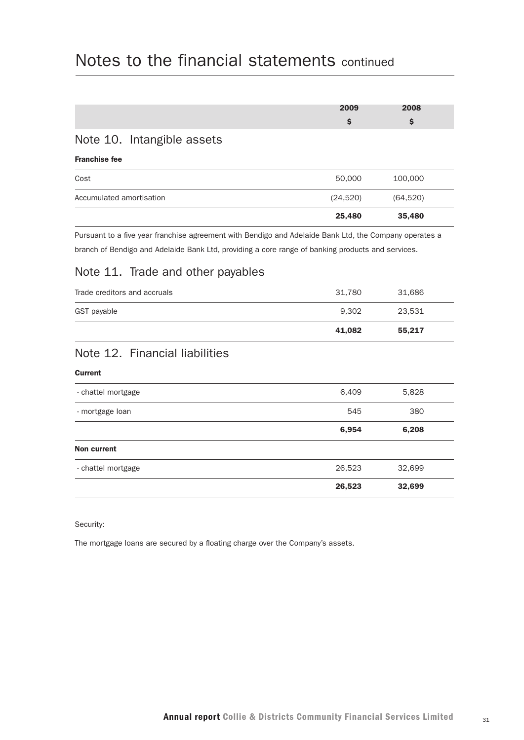|                                                                                                                                                                        | 2009     | 2008      |
|------------------------------------------------------------------------------------------------------------------------------------------------------------------------|----------|-----------|
|                                                                                                                                                                        | \$       | \$        |
| Note 10. Intangible assets                                                                                                                                             |          |           |
| <b>Franchise fee</b>                                                                                                                                                   |          |           |
| Cost                                                                                                                                                                   | 50,000   | 100,000   |
| Accumulated amortisation                                                                                                                                               | (24,520) | (64, 520) |
|                                                                                                                                                                        | 25,480   | 35,480    |
| branch of Bendigo and Adelaide Bank Ltd, providing a core range of banking products and services.<br>Note 11. Trade and other payables<br>Trade creditors and accruals | 31,780   | 31,686    |
| GST payable                                                                                                                                                            | 9,302    | 23,531    |
|                                                                                                                                                                        | 41,082   | 55,217    |
| Note 12. Financial liabilities                                                                                                                                         |          |           |
| <b>Current</b>                                                                                                                                                         |          |           |
| - chattel mortgage                                                                                                                                                     | 6,409    | 5,828     |
| - mortgage loan                                                                                                                                                        | 545      | 380       |

|                    | 6,954  | 6,208  |  |
|--------------------|--------|--------|--|
| Non current        |        |        |  |
| - chattel mortgage | 26,523 | 32,699 |  |
|                    | 26,523 | 32,699 |  |

Security:

The mortgage loans are secured by a floating charge over the Company's assets.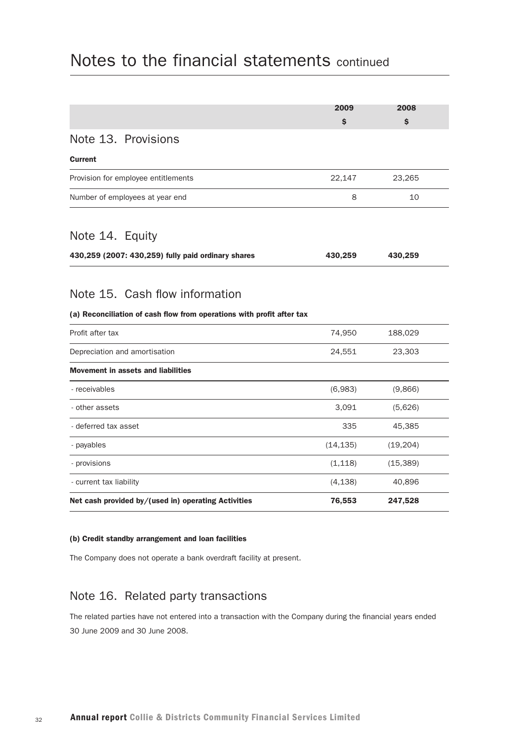|                                                                                                         | 2009      | 2008      |
|---------------------------------------------------------------------------------------------------------|-----------|-----------|
|                                                                                                         | \$        | \$        |
| Note 13. Provisions                                                                                     |           |           |
| <b>Current</b>                                                                                          |           |           |
| Provision for employee entitlements                                                                     | 22,147    | 23,265    |
| Number of employees at year end                                                                         | 8         | 10        |
| Note 14. Equity                                                                                         |           |           |
| 430,259 (2007: 430,259) fully paid ordinary shares                                                      | 430,259   | 430,259   |
| Note 15. Cash flow information<br>(a) Reconciliation of cash flow from operations with profit after tax |           |           |
| Profit after tax                                                                                        | 74,950    | 188,029   |
| Depreciation and amortisation                                                                           | 24,551    | 23,303    |
| <b>Movement in assets and liabilities</b>                                                               |           |           |
| - receivables                                                                                           | (6,983)   | (9,866)   |
| - other assets                                                                                          | 3,091     | (5,626)   |
| - deferred tax asset                                                                                    | 335       | 45,385    |
| - payables                                                                                              | (14, 135) | (19, 204) |
| - provisions                                                                                            | (1, 118)  | (15, 389) |
| - current tax liability                                                                                 | (4, 138)  | 40,896    |
| Net cash provided by/(used in) operating Activities                                                     | 76,553    | 247,528   |

#### (b) Credit standby arrangement and loan facilities

The Company does not operate a bank overdraft facility at present.

#### Note 16. Related party transactions

The related parties have not entered into a transaction with the Company during the financial years ended 30 June 2009 and 30 June 2008.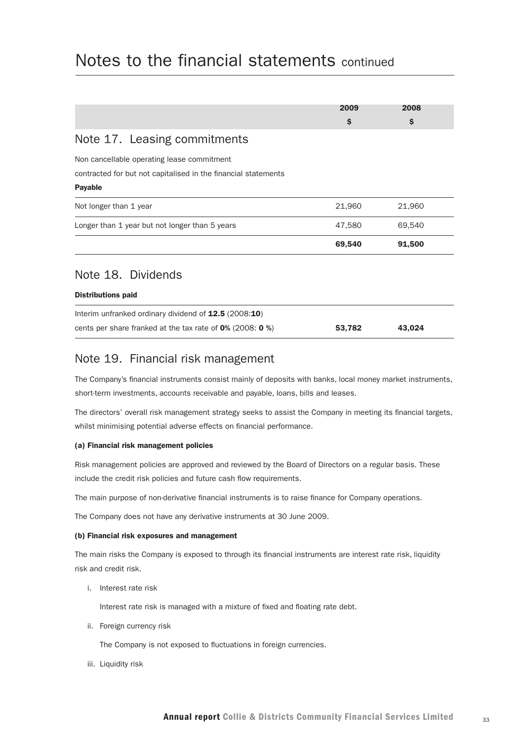|                                                                                                                                | 2009<br>\$ | 2008<br>\$ |
|--------------------------------------------------------------------------------------------------------------------------------|------------|------------|
| Note 17. Leasing commitments                                                                                                   |            |            |
| Non cancellable operating lease commitment<br>contracted for but not capitalised in the financial statements<br><b>Payable</b> |            |            |
| Not longer than 1 year                                                                                                         | 21,960     | 21,960     |
| Longer than 1 year but not longer than 5 years                                                                                 | 47,580     | 69,540     |
|                                                                                                                                | 69,540     | 91,500     |
| Note 18. Dividends                                                                                                             |            |            |
| <b>Distributions paid</b>                                                                                                      |            |            |
| Interim unfranked ordinary dividend of 12.5 (2008:10)                                                                          |            |            |
| cents per share franked at the tax rate of $0\%$ (2008: 0 %)                                                                   | 53,782     | 43,024     |

#### Note 19. Financial risk management

The Company's financial instruments consist mainly of deposits with banks, local money market instruments, short-term investments, accounts receivable and payable, loans, bills and leases.

The directors' overall risk management strategy seeks to assist the Company in meeting its financial targets, whilst minimising potential adverse effects on financial performance.

#### (a) Financial risk management policies

Risk management policies are approved and reviewed by the Board of Directors on a regular basis. These include the credit risk policies and future cash flow requirements.

The main purpose of non-derivative financial instruments is to raise finance for Company operations.

The Company does not have any derivative instruments at 30 June 2009.

#### (b) Financial risk exposures and management

The main risks the Company is exposed to through its financial instruments are interest rate risk, liquidity risk and credit risk.

i. Interest rate risk

Interest rate risk is managed with a mixture of fixed and floating rate debt.

ii. Foreign currency risk

The Company is not exposed to fluctuations in foreign currencies.

iii. Liquidity risk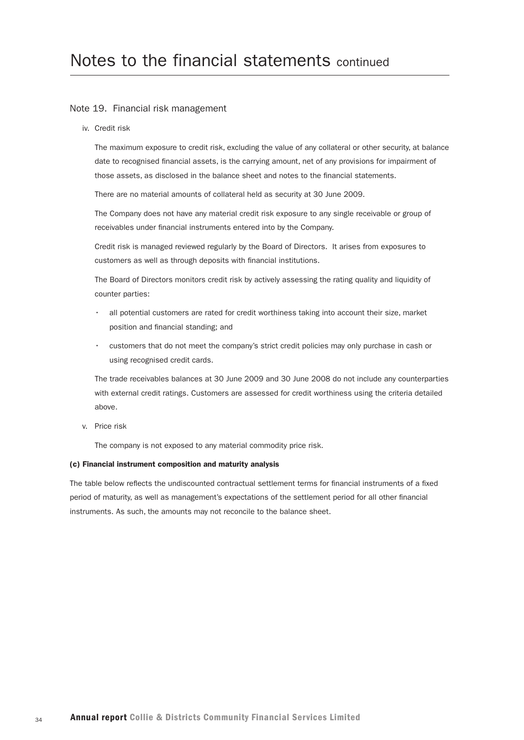#### Note 19. Financial risk management

iv. Credit risk

The maximum exposure to credit risk, excluding the value of any collateral or other security, at balance date to recognised financial assets, is the carrying amount, net of any provisions for impairment of those assets, as disclosed in the balance sheet and notes to the financial statements.

There are no material amounts of collateral held as security at 30 June 2009.

The Company does not have any material credit risk exposure to any single receivable or group of receivables under financial instruments entered into by the Company.

Credit risk is managed reviewed regularly by the Board of Directors. It arises from exposures to customers as well as through deposits with financial institutions.

The Board of Directors monitors credit risk by actively assessing the rating quality and liquidity of counter parties:

- all potential customers are rated for credit worthiness taking into account their size, market position and financial standing; and
- customers that do not meet the company's strict credit policies may only purchase in cash or using recognised credit cards.

The trade receivables balances at 30 June 2009 and 30 June 2008 do not include any counterparties with external credit ratings. Customers are assessed for credit worthiness using the criteria detailed above.

v. Price risk

The company is not exposed to any material commodity price risk.

#### (c) Financial instrument composition and maturity analysis

The table below reflects the undiscounted contractual settlement terms for financial instruments of a fixed period of maturity, as well as management's expectations of the settlement period for all other financial instruments. As such, the amounts may not reconcile to the balance sheet.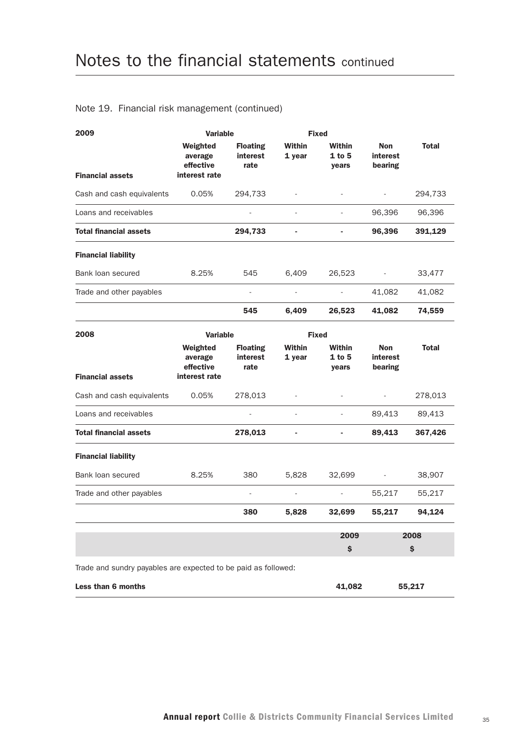#### Note 19. Financial risk management (continued)

| 2009                                                           | <b>Variable</b><br><b>Fixed</b>                   |                                     |                  |                              |                                   |              |
|----------------------------------------------------------------|---------------------------------------------------|-------------------------------------|------------------|------------------------------|-----------------------------------|--------------|
|                                                                | Weighted<br>average<br>effective                  | <b>Floating</b><br>interest<br>rate | Within<br>1 year | Within<br>$1$ to 5<br>years  | Non<br>interest<br>bearing        | <b>Total</b> |
| <b>Financial assets</b>                                        | interest rate                                     |                                     |                  |                              |                                   |              |
| Cash and cash equivalents                                      | 0.05%                                             | 294,733                             |                  |                              |                                   | 294,733      |
| Loans and receivables                                          |                                                   |                                     | ä,               |                              | 96,396                            | 96,396       |
| <b>Total financial assets</b>                                  |                                                   | 294,733                             | ÷,               |                              | 96,396                            | 391,129      |
| <b>Financial liability</b>                                     |                                                   |                                     |                  |                              |                                   |              |
| Bank loan secured                                              | 8.25%                                             | 545                                 | 6,409            | 26,523                       | $\blacksquare$                    | 33,477       |
| Trade and other payables                                       |                                                   |                                     |                  |                              | 41,082                            | 41,082       |
|                                                                |                                                   | 545                                 | 6,409            | 26,523                       | 41,082                            | 74,559       |
| 2008                                                           | <b>Variable</b>                                   |                                     | <b>Fixed</b>     |                              |                                   |              |
| <b>Financial assets</b>                                        | Weighted<br>average<br>effective<br>interest rate | <b>Floating</b><br>interest<br>rate | Within<br>1 year | Within<br>1 to 5<br>years    | <b>Non</b><br>interest<br>bearing | <b>Total</b> |
| Cash and cash equivalents                                      | 0.05%                                             | 278,013                             |                  |                              |                                   | 278,013      |
| Loans and receivables                                          |                                                   |                                     | ä,               |                              | 89,413                            | 89,413       |
| <b>Total financial assets</b>                                  |                                                   | 278,013                             | ÷,               | $\qquad \qquad \blacksquare$ | 89,413                            | 367,426      |
| <b>Financial liability</b>                                     |                                                   |                                     |                  |                              |                                   |              |
| Bank loan secured                                              | 8.25%                                             | 380                                 | 5,828            | 32,699                       |                                   | 38,907       |
| Trade and other payables                                       |                                                   |                                     |                  |                              | 55,217                            | 55,217       |
|                                                                |                                                   | 380                                 | 5,828            | 32,699                       | 55,217                            | 94,124       |
|                                                                |                                                   |                                     |                  | 2009                         |                                   | 2008         |
|                                                                |                                                   |                                     |                  | \$                           |                                   | \$           |
| Trade and sundry payables are expected to be paid as followed: |                                                   |                                     |                  |                              |                                   |              |
| Less than 6 months                                             |                                                   |                                     |                  | 41,082                       |                                   | 55,217       |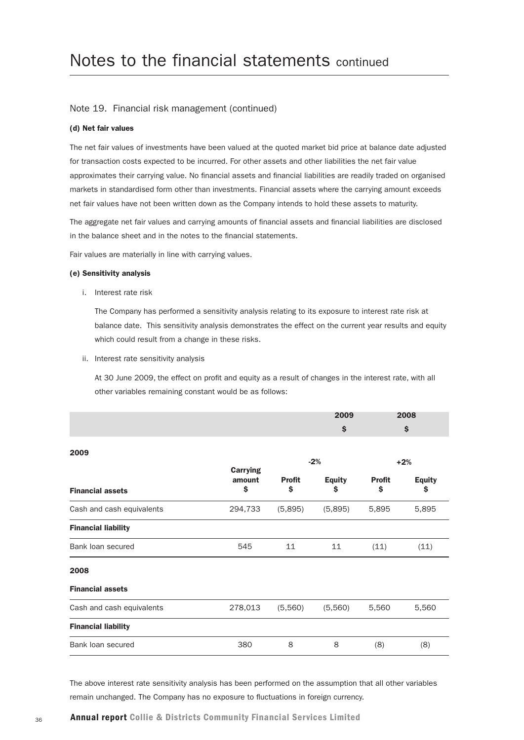#### Note 19. Financial risk management (continued)

#### (d) Net fair values

The net fair values of investments have been valued at the quoted market bid price at balance date adjusted for transaction costs expected to be incurred. For other assets and other liabilities the net fair value approximates their carrying value. No financial assets and financial liabilities are readily traded on organised markets in standardised form other than investments. Financial assets where the carrying amount exceeds net fair values have not been written down as the Company intends to hold these assets to maturity.

The aggregate net fair values and carrying amounts of financial assets and financial liabilities are disclosed in the balance sheet and in the notes to the financial statements.

Fair values are materially in line with carrying values.

#### (e) Sensitivity analysis

i. Interest rate risk

The Company has performed a sensitivity analysis relating to its exposure to interest rate risk at balance date. This sensitivity analysis demonstrates the effect on the current year results and equity which could result from a change in these risks.

ii. Interest rate sensitivity analysis

At 30 June 2009, the effect on profit and equity as a result of changes in the interest rate, with all other variables remaining constant would be as follows:

|                            |                                 |                     | 2009                |                     | 2008                |
|----------------------------|---------------------------------|---------------------|---------------------|---------------------|---------------------|
|                            |                                 |                     | \$                  |                     | \$                  |
| 2009                       |                                 |                     | $-2%$               |                     | $+2%$               |
| <b>Financial assets</b>    | <b>Carrying</b><br>amount<br>\$ | <b>Profit</b><br>\$ | <b>Equity</b><br>\$ | <b>Profit</b><br>\$ | <b>Equity</b><br>\$ |
| Cash and cash equivalents  | 294,733                         | (5,895)             | (5,895)             | 5,895               | 5,895               |
| <b>Financial liability</b> |                                 |                     |                     |                     |                     |
| Bank loan secured          | 545                             | 11                  | 11                  | (11)                | (11)                |
| 2008                       |                                 |                     |                     |                     |                     |
| <b>Financial assets</b>    |                                 |                     |                     |                     |                     |
| Cash and cash equivalents  | 278,013                         | (5,560)             | (5,560)             | 5,560               | 5,560               |
| <b>Financial liability</b> |                                 |                     |                     |                     |                     |
| Bank loan secured          | 380                             | 8                   | 8                   | (8)                 | (8)                 |

The above interest rate sensitivity analysis has been performed on the assumption that all other variables remain unchanged. The Company has no exposure to fluctuations in foreign currency.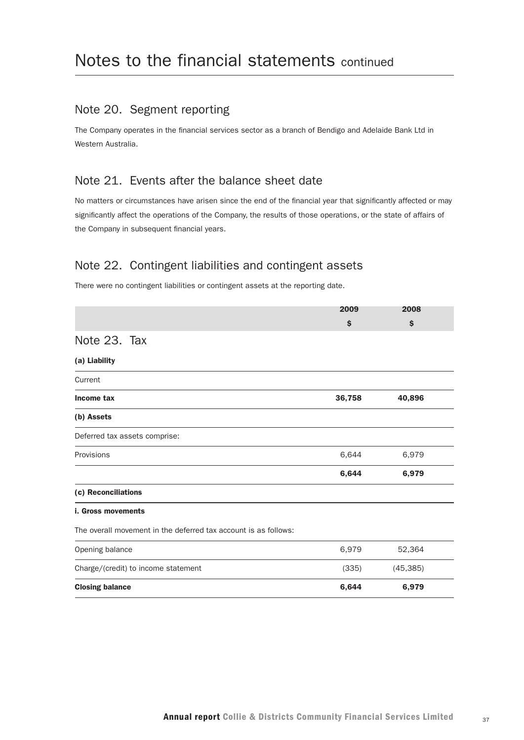### Note 20. Segment reporting

The Company operates in the financial services sector as a branch of Bendigo and Adelaide Bank Ltd in Western Australia.

#### Note 21. Events after the balance sheet date

No matters or circumstances have arisen since the end of the financial year that significantly affected or may significantly affect the operations of the Company, the results of those operations, or the state of affairs of the Company in subsequent financial years.

## Note 22. Contingent liabilities and contingent assets

There were no contingent liabilities or contingent assets at the reporting date.

|                                                                 | 2009   | 2008      |  |
|-----------------------------------------------------------------|--------|-----------|--|
|                                                                 | \$     | \$        |  |
| Note 23. Tax                                                    |        |           |  |
| (a) Liability                                                   |        |           |  |
| Current                                                         |        |           |  |
| Income tax                                                      | 36,758 | 40,896    |  |
| (b) Assets                                                      |        |           |  |
| Deferred tax assets comprise:                                   |        |           |  |
| Provisions                                                      | 6,644  | 6,979     |  |
|                                                                 | 6,644  | 6,979     |  |
| (c) Reconciliations                                             |        |           |  |
| <b>i. Gross movements</b>                                       |        |           |  |
| The overall movement in the deferred tax account is as follows: |        |           |  |
| Opening balance                                                 | 6,979  | 52,364    |  |
| Charge/(credit) to income statement                             | (335)  | (45, 385) |  |
| <b>Closing balance</b>                                          | 6,644  | 6,979     |  |
|                                                                 |        |           |  |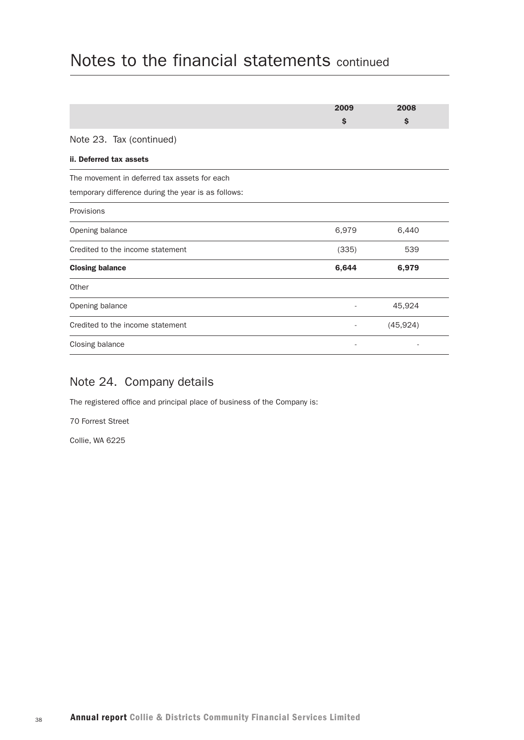|                                                     | 2009  | 2008      |
|-----------------------------------------------------|-------|-----------|
|                                                     | \$    | \$        |
| Note 23. Tax (continued)                            |       |           |
| ii. Deferred tax assets                             |       |           |
| The movement in deferred tax assets for each        |       |           |
| temporary difference during the year is as follows: |       |           |
| Provisions                                          |       |           |
| Opening balance                                     | 6,979 | 6,440     |
| Credited to the income statement                    | (335) | 539       |
| <b>Closing balance</b>                              | 6,644 | 6,979     |
| Other                                               |       |           |
| Opening balance                                     |       | 45,924    |
| Credited to the income statement                    |       | (45, 924) |
| Closing balance                                     |       |           |

## Note 24. Company details

The registered office and principal place of business of the Company is:

70 Forrest Street

Collie, WA 6225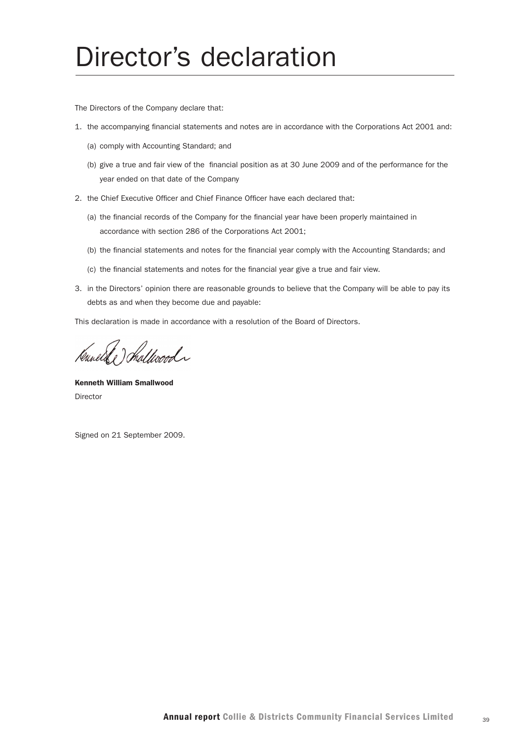# Director's declaration

The Directors of the Company declare that:

- 1. the accompanying financial statements and notes are in accordance with the Corporations Act 2001 and:
	- (a) comply with Accounting Standard; and
	- (b) give a true and fair view of the financial position as at 30 June 2009 and of the performance for the year ended on that date of the Company
- 2. the Chief Executive Officer and Chief Finance Officer have each declared that:
	- (a) the financial records of the Company for the financial year have been properly maintained in accordance with section 286 of the Corporations Act 2001;
	- (b) the financial statements and notes for the financial year comply with the Accounting Standards; and
	- (c) the financial statements and notes for the financial year give a true and fair view.
- 3. in the Directors' opinion there are reasonable grounds to believe that the Company will be able to pay its debts as and when they become due and payable:

This declaration is made in accordance with a resolution of the Board of Directors.

Kanelske) Shallwood

Kenneth William Smallwood Director

Signed on 21 September 2009.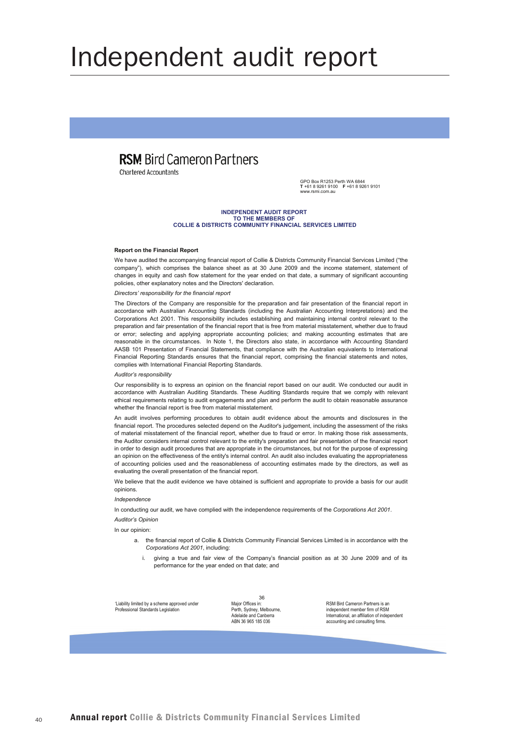# Independent audit report

## **RSM Bird Cameron Partners**

Chartered Accountants

GPO Box R1253 Perth WA 6844<br>T +61 8 9261 9100 F +61 8 9261 9101 المستحدث فللمستريث

#### **INDEPENDENT AUDIT REPORT** TO THE MEMBERS OF COLLIE & DISTRICTS COMMUNITY FINANCIAL SERVICES LIMITED

#### **Report on the Financial Report**

We have audited the accompanying financial report of Collie & Districts Community Financial Services Limited ("the company"), which comprises the balance sheet as at 30 June 2009 and the income statement, statement of changes in equity and cash flow statement for the year ended on that date, a summary of significant accounting policies, other explanatory notes and the Directors' declaration.

#### Directors' responsibility for the financial report

The Directors of the Company are responsible for the preparation and fair presentation of the financial report in accordance with Australian Accounting Standards (including the Australian Accounting Interpretations) and the Corporations Act 2001. This responsibility includes establishing and maintaining internal control relevant to the preparation and fair presentation of the financial report that is free from material misstatement whether due to fraud or error; selecting and applying appropriate accounting policies; and making accounting estimates that are reasonable in the circumstances. In Note 1, the Directors also state, in accordance with Accounting Standard AASB 101 Presentation of Financial Statements, that compliance with the Australian equivalents to International Financial Reporting Standards ensures that the financial report, comprising the financial statements and notes, complies with International Financial Reporting Standards.

#### Auditor's responsibility

Our responsibility is to express an opinion on the financial report based on our audit. We conducted our audit in accordance with Australian Auditing Standards. These Auditing Standards require that we comply with relevant ethical requirements relating to audit engagements and plan and perform the audit to obtain reasonable assurance whether the financial report is free from material misstatement.

An audit involves performing procedures to obtain audit evidence about the amounts and disclosures in the financial report. The procedures selected depend on the Auditor's judgement, including the assessment of the risks of material misstatement of the financial report, whether due to fraud or error. In making those risk assessments, the Auditor considers internal control relevant to the entity's preparation and fair presentation of the financial report in order to design audit procedures that are appropriate in the circumstances, but not for the purpose of expressing an opinion on the effectiveness of the entity's internal control. An audit also includes evaluating the appropriateness of accounting policies used and the reasonableness of accounting estimates made by the directors, as well as evaluating the overall presentation of the financial report.

We believe that the audit evidence we have obtained is sufficient and appropriate to provide a basis for our audit opinions.

#### Indenendence

In conducting our audit, we have complied with the independence requirements of the Corporations Act 2001.

#### Auditor's Opinion

In our opinion:

- a. the financial report of Collie & Districts Community Financial Services Limited is in accordance with the Corporations Act 2001, including:
	- i. giving a true and fair view of the Company's financial position as at 30 June 2009 and of its performance for the year ended on that date; and

'Liability limited by a scheme approved under Professional Standards Legislation

36 Maior Offices in Perth, Sydney, Melbourne, Adelaide and Canberra ABN 36 965 185 036

RSM Rird Cameron Partners is an independent member firm of RSM International an affiliation of indene accounting and consulting firms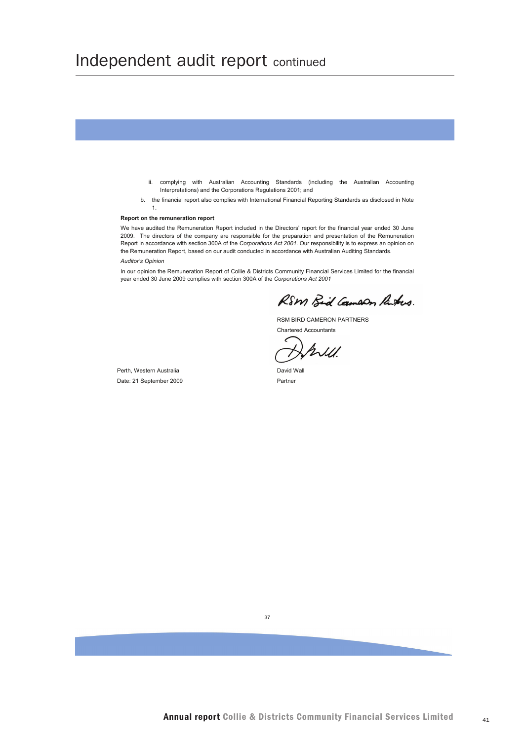## Independent audit report continued

ii. complying with Australian Accounting Standards (including the Australian Accounting Interpretations) and the Corporations Regulations 2001; and b. the financial report also complies with International Financial Reporting Standards as disclosed in Note  $\mathbf{1}$ Report on the remuneration report We have audited the Remuneration Report included in the Directors' report for the financial year ended 30 June 2009. The directors of the company are responsible for the preparation and presentation of the Remuneration Report in accordance with section 300A of the Corporations Act 2001. Our responsibility is to express an opinion on the Remuneration Report, based on our audit conducted in accordance with Australian Auditing Standards. Auditor's Opinion In our opinion the Remuneration Report of Collie & Districts Community Financial Services Limited for the financial year ended 30 June 2009 complies with section 300A of the Corporations Act 2001 RSM Bid Cameron Parkers. RSM BIRD CAMERON PARTNERS Chartered Accountants  $\hbar$ David Wall Perth. Western Australia Date: 21 September 2009 Partner

 $37$